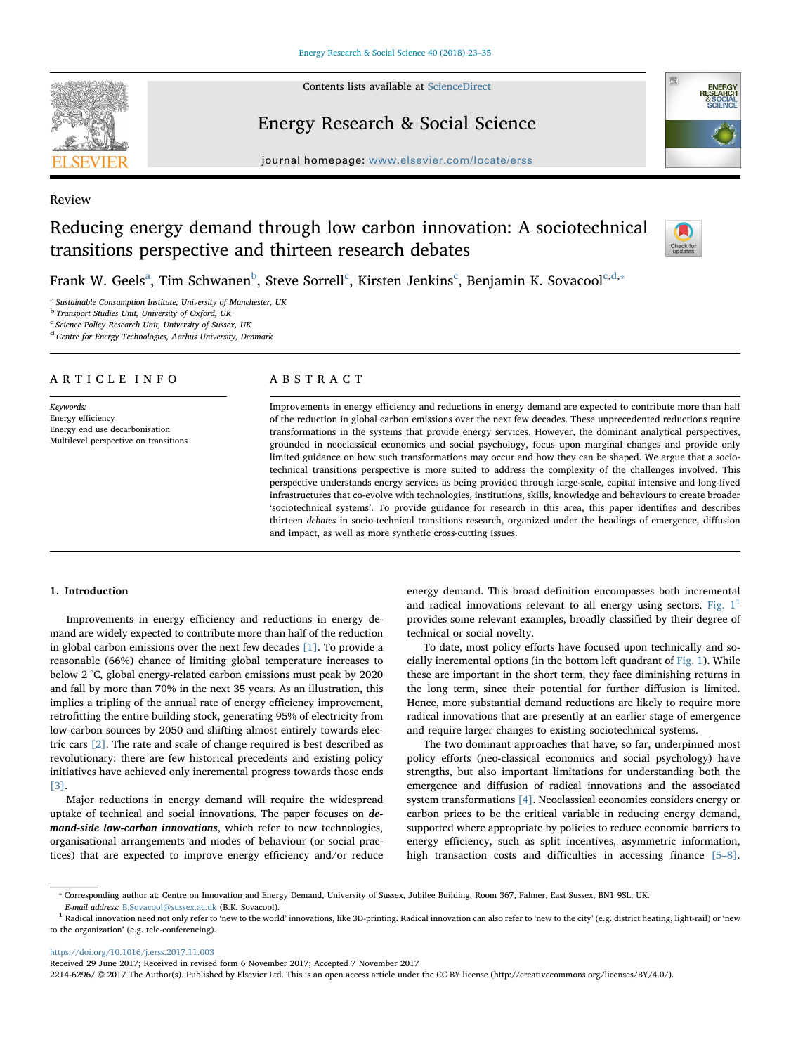

Contents lists available at [ScienceDirect](http://www.sciencedirect.com/science/journal/22146296)

## Energy Research & Social Science



journal homepage: [www.elsevier.com/locate/erss](https://www.elsevier.com/locate/erss)

## Review

# Reducing energy demand through low carbon innovation: A sociotechnical transitions perspective and thirteen research debates



Fr[a](#page-0-0)nk W. Geels<sup>a</sup>, Tim Schwanen<sup>[b](#page-0-1)</sup>, Steve Sorrell<sup>[c](#page-0-2)</sup>, Kirsten Jenkins<sup>c</sup>, Benjamin K. Sovacool<sup>c[,d,](#page-0-3)</sup>\*

<span id="page-0-0"></span><sup>a</sup> Sustainable Consumption Institute, University of Manchester, UK

<span id="page-0-1"></span><sup>b</sup> Transport Studies Unit, University of Oxford, UK

<span id="page-0-2"></span><sup>c</sup> Science Policy Research Unit, University of Sussex, UK

<span id="page-0-3"></span><sup>d</sup> Centre for Energy Technologies, Aarhus University, Denmark

## ARTICLE INFO

Keywords: Energy efficiency Energy end use decarbonisation Multilevel perspective on transitions

## ABSTRACT

Improvements in energy efficiency and reductions in energy demand are expected to contribute more than half of the reduction in global carbon emissions over the next few decades. These unprecedented reductions require transformations in the systems that provide energy services. However, the dominant analytical perspectives, grounded in neoclassical economics and social psychology, focus upon marginal changes and provide only limited guidance on how such transformations may occur and how they can be shaped. We argue that a sociotechnical transitions perspective is more suited to address the complexity of the challenges involved. This perspective understands energy services as being provided through large-scale, capital intensive and long-lived infrastructures that co-evolve with technologies, institutions, skills, knowledge and behaviours to create broader 'sociotechnical systems'. To provide guidance for research in this area, this paper identifies and describes thirteen debates in socio-technical transitions research, organized under the headings of emergence, diffusion and impact, as well as more synthetic cross-cutting issues.

## 1. Introduction

Improvements in energy efficiency and reductions in energy demand are widely expected to contribute more than half of the reduction in global carbon emissions over the next few decades [\[1\]](#page-9-0). To provide a reasonable (66%) chance of limiting global temperature increases to below 2 °C, global energy-related carbon emissions must peak by 2020 and fall by more than 70% in the next 35 years. As an illustration, this implies a tripling of the annual rate of energy efficiency improvement, retrofitting the entire building stock, generating 95% of electricity from low-carbon sources by 2050 and shifting almost entirely towards electric cars [\[2\].](#page-9-1) The rate and scale of change required is best described as revolutionary: there are few historical precedents and existing policy initiatives have achieved only incremental progress towards those ends [\[3\].](#page-9-2)

Major reductions in energy demand will require the widespread uptake of technical and social innovations. The paper focuses on demand-side low-carbon innovations, which refer to new technologies, organisational arrangements and modes of behaviour (or social practices) that are expected to improve energy efficiency and/or reduce energy demand. This broad definition encompasses both incremental and radical innovations relevant to all energy using sectors. Fig.  $1<sup>1</sup>$  $1<sup>1</sup>$ provides some relevant examples, broadly classified by their degree of technical or social novelty.

To date, most policy efforts have focused upon technically and socially incremental options (in the bottom left quadrant of [Fig. 1\)](#page-1-0). While these are important in the short term, they face diminishing returns in the long term, since their potential for further diffusion is limited. Hence, more substantial demand reductions are likely to require more radical innovations that are presently at an earlier stage of emergence and require larger changes to existing sociotechnical systems.

The two dominant approaches that have, so far, underpinned most policy efforts (neo-classical economics and social psychology) have strengths, but also important limitations for understanding both the emergence and diffusion of radical innovations and the associated system transformations [\[4\]](#page-9-3). Neoclassical economics considers energy or carbon prices to be the critical variable in reducing energy demand, supported where appropriate by policies to reduce economic barriers to energy efficiency, such as split incentives, asymmetric information, high transaction costs and difficulties in accessing finance [\[5](#page-9-4)-8].

<https://doi.org/10.1016/j.erss.2017.11.003>

Received 29 June 2017; Received in revised form 6 November 2017; Accepted 7 November 2017

2214-6296/ © 2017 The Author(s). Published by Elsevier Ltd. This is an open access article under the CC BY license (http://creativecommons.org/licenses/BY/4.0/).

<span id="page-0-4"></span><sup>⁎</sup> Corresponding author at: Centre on Innovation and Energy Demand, University of Sussex, Jubilee Building, Room 367, Falmer, East Sussex, BN1 9SL, UK.

<span id="page-0-5"></span>E-mail address: [B.Sovacool@sussex.ac.uk](mailto:B.Sovacool@sussex.ac.uk) (B.K. Sovacool).<br><sup>1</sup> Radical innovation need not only refer to 'new to the world' innovations, like 3D-printing. Radical innovation can also refer to 'new to the city' (e.g. district to the organization' (e.g. tele-conferencing).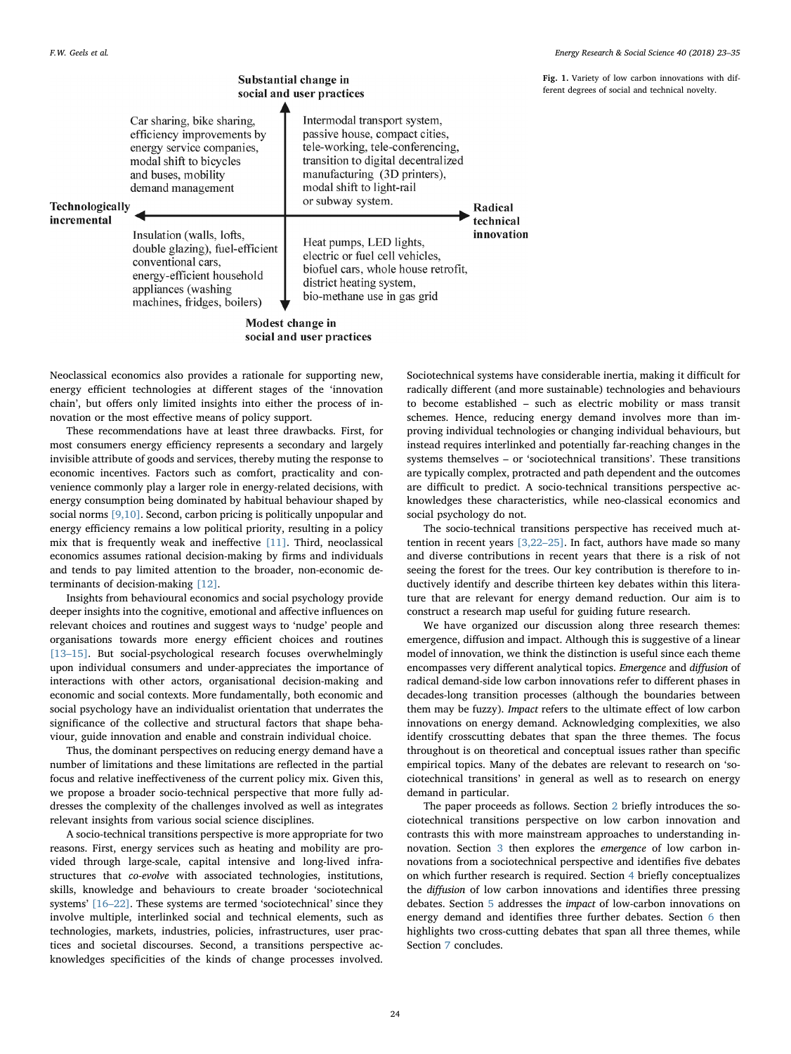Fig. 1. Variety of low carbon innovations with different degrees of social and technical novelty.

<span id="page-1-0"></span>

Neoclassical economics also provides a rationale for supporting new, energy efficient technologies at different stages of the 'innovation chain', but offers only limited insights into either the process of innovation or the most effective means of policy support.

These recommendations have at least three drawbacks. First, for most consumers energy efficiency represents a secondary and largely invisible attribute of goods and services, thereby muting the response to economic incentives. Factors such as comfort, practicality and convenience commonly play a larger role in energy-related decisions, with energy consumption being dominated by habitual behaviour shaped by social norms [\[9,10\].](#page-9-5) Second, carbon pricing is politically unpopular and energy efficiency remains a low political priority, resulting in a policy mix that is frequently weak and ineffective [\[11\].](#page-9-6) Third, neoclassical economics assumes rational decision-making by firms and individuals and tends to pay limited attention to the broader, non-economic determinants of decision-making [\[12\].](#page-10-0)

Insights from behavioural economics and social psychology provide deeper insights into the cognitive, emotional and affective influences on relevant choices and routines and suggest ways to 'nudge' people and organisations towards more energy efficient choices and routines [13–[15\]](#page-10-1). But social-psychological research focuses overwhelmingly upon individual consumers and under-appreciates the importance of interactions with other actors, organisational decision-making and economic and social contexts. More fundamentally, both economic and social psychology have an individualist orientation that underrates the significance of the collective and structural factors that shape behaviour, guide innovation and enable and constrain individual choice.

Thus, the dominant perspectives on reducing energy demand have a number of limitations and these limitations are reflected in the partial focus and relative ineffectiveness of the current policy mix. Given this, we propose a broader socio-technical perspective that more fully addresses the complexity of the challenges involved as well as integrates relevant insights from various social science disciplines.

A socio-technical transitions perspective is more appropriate for two reasons. First, energy services such as heating and mobility are provided through large-scale, capital intensive and long-lived infrastructures that co-evolve with associated technologies, institutions, skills, knowledge and behaviours to create broader 'sociotechnical systems' [16–[22\].](#page-10-2) These systems are termed 'sociotechnical' since they involve multiple, interlinked social and technical elements, such as technologies, markets, industries, policies, infrastructures, user practices and societal discourses. Second, a transitions perspective acknowledges specificities of the kinds of change processes involved.

Sociotechnical systems have considerable inertia, making it difficult for radically different (and more sustainable) technologies and behaviours to become established – such as electric mobility or mass transit schemes. Hence, reducing energy demand involves more than improving individual technologies or changing individual behaviours, but instead requires interlinked and potentially far-reaching changes in the systems themselves – or 'sociotechnical transitions'. These transitions are typically complex, protracted and path dependent and the outcomes are difficult to predict. A socio-technical transitions perspective acknowledges these characteristics, while neo-classical economics and social psychology do not.

The socio-technical transitions perspective has received much attention in recent years [\[3,22](#page-9-2)–25]. In fact, authors have made so many and diverse contributions in recent years that there is a risk of not seeing the forest for the trees. Our key contribution is therefore to inductively identify and describe thirteen key debates within this literature that are relevant for energy demand reduction. Our aim is to construct a research map useful for guiding future research.

We have organized our discussion along three research themes: emergence, diffusion and impact. Although this is suggestive of a linear model of innovation, we think the distinction is useful since each theme encompasses very different analytical topics. Emergence and diffusion of radical demand-side low carbon innovations refer to different phases in decades-long transition processes (although the boundaries between them may be fuzzy). Impact refers to the ultimate effect of low carbon innovations on energy demand. Acknowledging complexities, we also identify crosscutting debates that span the three themes. The focus throughout is on theoretical and conceptual issues rather than specific empirical topics. Many of the debates are relevant to research on 'sociotechnical transitions' in general as well as to research on energy demand in particular.

The paper proceeds as follows. Section [2](#page-2-0) briefly introduces the sociotechnical transitions perspective on low carbon innovation and contrasts this with more mainstream approaches to understanding innovation. Section [3](#page-3-0) then explores the emergence of low carbon innovations from a sociotechnical perspective and identifies five debates on which further research is required. Section [4](#page-5-0) briefly conceptualizes the diffusion of low carbon innovations and identifies three pressing debates. Section [5](#page-7-0) addresses the impact of low-carbon innovations on energy demand and identifies three further debates. Section [6](#page-8-0) then highlights two cross-cutting debates that span all three themes, while Section [7](#page-9-7) concludes.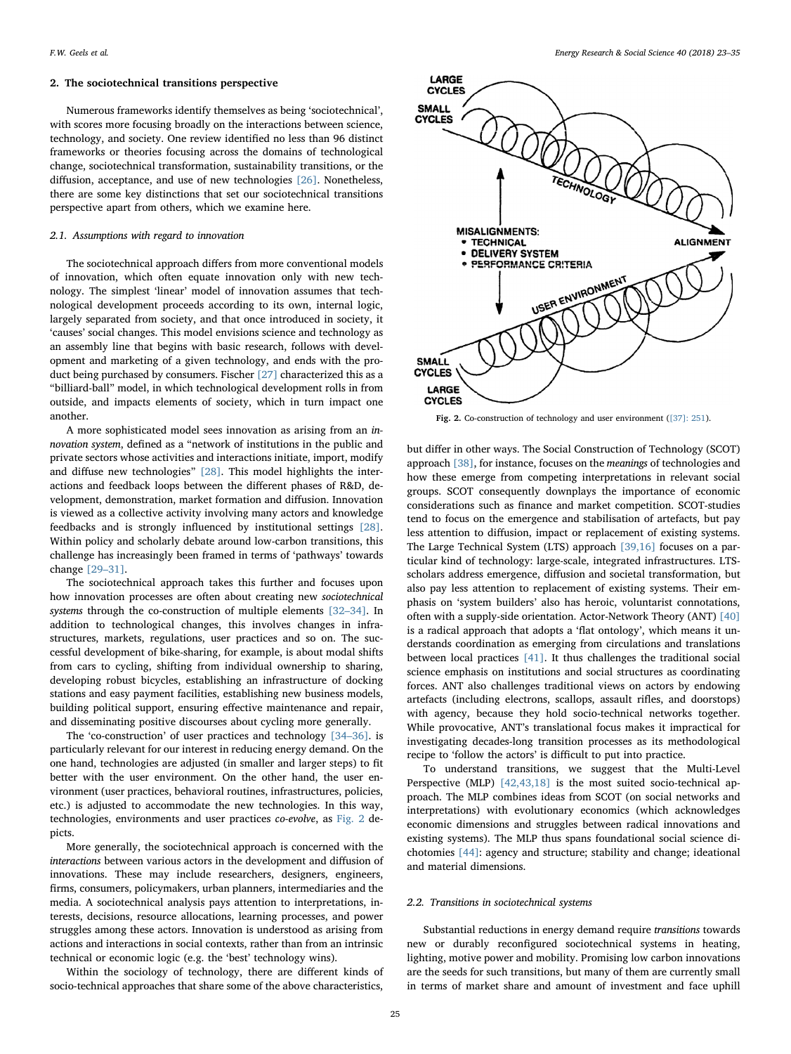#### <span id="page-2-0"></span>2. The sociotechnical transitions perspective

Numerous frameworks identify themselves as being 'sociotechnical', with scores more focusing broadly on the interactions between science, technology, and society. One review identified no less than 96 distinct frameworks or theories focusing across the domains of technological change, sociotechnical transformation, sustainability transitions, or the diffusion, acceptance, and use of new technologies [\[26\].](#page-10-3) Nonetheless, there are some key distinctions that set our sociotechnical transitions perspective apart from others, which we examine here.

#### 2.1. Assumptions with regard to innovation

The sociotechnical approach differs from more conventional models of innovation, which often equate innovation only with new technology. The simplest 'linear' model of innovation assumes that technological development proceeds according to its own, internal logic, largely separated from society, and that once introduced in society, it 'causes' social changes. This model envisions science and technology as an assembly line that begins with basic research, follows with development and marketing of a given technology, and ends with the product being purchased by consumers. Fischer [\[27\]](#page-10-4) characterized this as a "billiard-ball" model, in which technological development rolls in from outside, and impacts elements of society, which in turn impact one another.

A more sophisticated model sees innovation as arising from an innovation system, defined as a "network of institutions in the public and private sectors whose activities and interactions initiate, import, modify and diffuse new technologies" [\[28\].](#page-10-5) This model highlights the interactions and feedback loops between the different phases of R&D, development, demonstration, market formation and diffusion. Innovation is viewed as a collective activity involving many actors and knowledge feedbacks and is strongly influenced by institutional settings [\[28\]](#page-10-5). Within policy and scholarly debate around low-carbon transitions, this challenge has increasingly been framed in terms of 'pathways' towards change [29–[31\].](#page-10-6)

The sociotechnical approach takes this further and focuses upon how innovation processes are often about creating new sociotechnical systems through the co-construction of multiple elements [32–[34\].](#page-10-7) In addition to technological changes, this involves changes in infrastructures, markets, regulations, user practices and so on. The successful development of bike-sharing, for example, is about modal shifts from cars to cycling, shifting from individual ownership to sharing, developing robust bicycles, establishing an infrastructure of docking stations and easy payment facilities, establishing new business models, building political support, ensuring effective maintenance and repair, and disseminating positive discourses about cycling more generally.

The 'co-construction' of user practices and technology [34–[36\].](#page-10-8) is particularly relevant for our interest in reducing energy demand. On the one hand, technologies are adjusted (in smaller and larger steps) to fit better with the user environment. On the other hand, the user environment (user practices, behavioral routines, infrastructures, policies, etc.) is adjusted to accommodate the new technologies. In this way, technologies, environments and user practices co-evolve, as [Fig. 2](#page-2-1) depicts.

More generally, the sociotechnical approach is concerned with the interactions between various actors in the development and diffusion of innovations. These may include researchers, designers, engineers, firms, consumers, policymakers, urban planners, intermediaries and the media. A sociotechnical analysis pays attention to interpretations, interests, decisions, resource allocations, learning processes, and power struggles among these actors. Innovation is understood as arising from actions and interactions in social contexts, rather than from an intrinsic technical or economic logic (e.g. the 'best' technology wins).

Within the sociology of technology, there are different kinds of socio-technical approaches that share some of the above characteristics,

<span id="page-2-1"></span>

Fig. 2. Co-construction of technology and user environment [\(\[37\]: 251\)](#page-10-15).

but differ in other ways. The Social Construction of Technology (SCOT) approach [\[38\],](#page-10-9) for instance, focuses on the meanings of technologies and how these emerge from competing interpretations in relevant social groups. SCOT consequently downplays the importance of economic considerations such as finance and market competition. SCOT-studies tend to focus on the emergence and stabilisation of artefacts, but pay less attention to diffusion, impact or replacement of existing systems. The Large Technical System (LTS) approach [\[39,16\]](#page-10-10) focuses on a particular kind of technology: large-scale, integrated infrastructures. LTSscholars address emergence, diffusion and societal transformation, but also pay less attention to replacement of existing systems. Their emphasis on 'system builders' also has heroic, voluntarist connotations, often with a supply-side orientation. Actor-Network Theory (ANT) [\[40\]](#page-10-11) is a radical approach that adopts a 'flat ontology', which means it understands coordination as emerging from circulations and translations between local practices [\[41\]](#page-10-12). It thus challenges the traditional social science emphasis on institutions and social structures as coordinating forces. ANT also challenges traditional views on actors by endowing artefacts (including electrons, scallops, assault rifles, and doorstops) with agency, because they hold socio-technical networks together. While provocative, ANT's translational focus makes it impractical for investigating decades-long transition processes as its methodological recipe to 'follow the actors' is difficult to put into practice.

To understand transitions, we suggest that the Multi-Level Perspective (MLP) [\[42,43,18\]](#page-10-13) is the most suited socio-technical approach. The MLP combines ideas from SCOT (on social networks and interpretations) with evolutionary economics (which acknowledges economic dimensions and struggles between radical innovations and existing systems). The MLP thus spans foundational social science dichotomies [\[44\]:](#page-10-14) agency and structure; stability and change; ideational and material dimensions.

## 2.2. Transitions in sociotechnical systems

Substantial reductions in energy demand require transitions towards new or durably reconfigured sociotechnical systems in heating, lighting, motive power and mobility. Promising low carbon innovations are the seeds for such transitions, but many of them are currently small in terms of market share and amount of investment and face uphill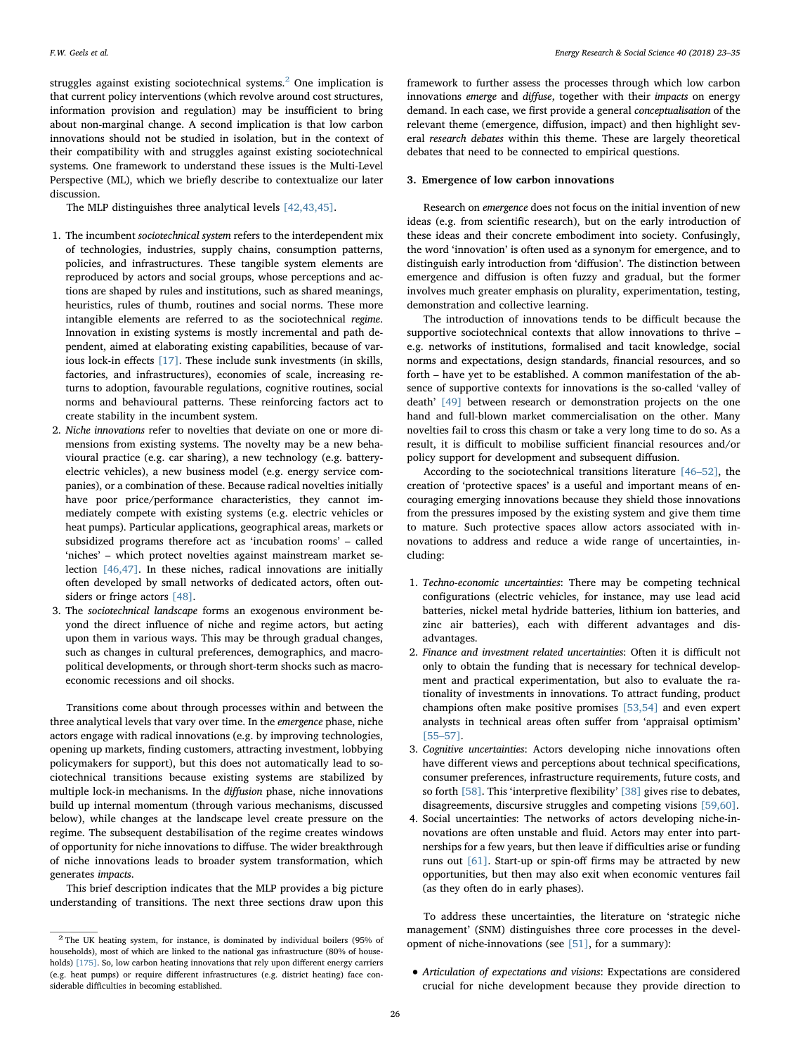struggles against existing sociotechnical systems.<sup>[2](#page-3-1)</sup> One implication is that current policy interventions (which revolve around cost structures, information provision and regulation) may be insufficient to bring about non-marginal change. A second implication is that low carbon innovations should not be studied in isolation, but in the context of their compatibility with and struggles against existing sociotechnical systems. One framework to understand these issues is the Multi-Level Perspective (ML), which we briefly describe to contextualize our later discussion.

The MLP distinguishes three analytical levels [\[42,43,45\].](#page-10-13)

- 1. The incumbent sociotechnical system refers to the interdependent mix of technologies, industries, supply chains, consumption patterns, policies, and infrastructures. These tangible system elements are reproduced by actors and social groups, whose perceptions and actions are shaped by rules and institutions, such as shared meanings, heuristics, rules of thumb, routines and social norms. These more intangible elements are referred to as the sociotechnical regime. Innovation in existing systems is mostly incremental and path dependent, aimed at elaborating existing capabilities, because of various lock-in effects [\[17\].](#page-10-16) These include sunk investments (in skills, factories, and infrastructures), economies of scale, increasing returns to adoption, favourable regulations, cognitive routines, social norms and behavioural patterns. These reinforcing factors act to create stability in the incumbent system.
- 2. Niche innovations refer to novelties that deviate on one or more dimensions from existing systems. The novelty may be a new behavioural practice (e.g. car sharing), a new technology (e.g. batteryelectric vehicles), a new business model (e.g. energy service companies), or a combination of these. Because radical novelties initially have poor price/performance characteristics, they cannot immediately compete with existing systems (e.g. electric vehicles or heat pumps). Particular applications, geographical areas, markets or subsidized programs therefore act as 'incubation rooms' – called 'niches' – which protect novelties against mainstream market selection [\[46,47\]](#page-10-17). In these niches, radical innovations are initially often developed by small networks of dedicated actors, often outsiders or fringe actors [\[48\]](#page-10-18).
- 3. The sociotechnical landscape forms an exogenous environment beyond the direct influence of niche and regime actors, but acting upon them in various ways. This may be through gradual changes, such as changes in cultural preferences, demographics, and macropolitical developments, or through short-term shocks such as macroeconomic recessions and oil shocks.

Transitions come about through processes within and between the three analytical levels that vary over time. In the emergence phase, niche actors engage with radical innovations (e.g. by improving technologies, opening up markets, finding customers, attracting investment, lobbying policymakers for support), but this does not automatically lead to sociotechnical transitions because existing systems are stabilized by multiple lock-in mechanisms. In the diffusion phase, niche innovations build up internal momentum (through various mechanisms, discussed below), while changes at the landscape level create pressure on the regime. The subsequent destabilisation of the regime creates windows of opportunity for niche innovations to diffuse. The wider breakthrough of niche innovations leads to broader system transformation, which generates impacts.

This brief description indicates that the MLP provides a big picture understanding of transitions. The next three sections draw upon this

framework to further assess the processes through which low carbon innovations emerge and diffuse, together with their impacts on energy demand. In each case, we first provide a general conceptualisation of the relevant theme (emergence, diffusion, impact) and then highlight several research debates within this theme. These are largely theoretical debates that need to be connected to empirical questions.

#### <span id="page-3-0"></span>3. Emergence of low carbon innovations

Research on emergence does not focus on the initial invention of new ideas (e.g. from scientific research), but on the early introduction of these ideas and their concrete embodiment into society. Confusingly, the word 'innovation' is often used as a synonym for emergence, and to distinguish early introduction from 'diffusion'. The distinction between emergence and diffusion is often fuzzy and gradual, but the former involves much greater emphasis on plurality, experimentation, testing, demonstration and collective learning.

The introduction of innovations tends to be difficult because the supportive sociotechnical contexts that allow innovations to thrive – e.g. networks of institutions, formalised and tacit knowledge, social norms and expectations, design standards, financial resources, and so forth – have yet to be established. A common manifestation of the absence of supportive contexts for innovations is the so-called 'valley of death' [\[49\]](#page-10-19) between research or demonstration projects on the one hand and full-blown market commercialisation on the other. Many novelties fail to cross this chasm or take a very long time to do so. As a result, it is difficult to mobilise sufficient financial resources and/or policy support for development and subsequent diffusion.

According to the sociotechnical transitions literature [46–[52\]](#page-10-17), the creation of 'protective spaces' is a useful and important means of encouraging emerging innovations because they shield those innovations from the pressures imposed by the existing system and give them time to mature. Such protective spaces allow actors associated with innovations to address and reduce a wide range of uncertainties, including:

- 1. Techno-economic uncertainties: There may be competing technical configurations (electric vehicles, for instance, may use lead acid batteries, nickel metal hydride batteries, lithium ion batteries, and zinc air batteries), each with different advantages and disadvantages.
- 2. Finance and investment related uncertainties: Often it is difficult not only to obtain the funding that is necessary for technical development and practical experimentation, but also to evaluate the rationality of investments in innovations. To attract funding, product champions often make positive promises [\[53,54\]](#page-10-20) and even expert analysts in technical areas often suffer from 'appraisal optimism' [\[55](#page-10-21)–57].
- 3. Cognitive uncertainties: Actors developing niche innovations often have different views and perceptions about technical specifications, consumer preferences, infrastructure requirements, future costs, and so forth [\[58\].](#page-10-22) This 'interpretive flexibility' [\[38\]](#page-10-9) gives rise to debates, disagreements, discursive struggles and competing visions [\[59,60\].](#page-10-23)
- 4. Social uncertainties: The networks of actors developing niche-innovations are often unstable and fluid. Actors may enter into partnerships for a few years, but then leave if difficulties arise or funding runs out [\[61\].](#page-10-24) Start-up or spin-off firms may be attracted by new opportunities, but then may also exit when economic ventures fail (as they often do in early phases).

To address these uncertainties, the literature on 'strategic niche management' (SNM) distinguishes three core processes in the development of niche-innovations (see [\[51\]](#page-10-25), for a summary):

• Articulation of expectations and visions: Expectations are considered crucial for niche development because they provide direction to

<span id="page-3-1"></span> $2$  The UK heating system, for instance, is dominated by individual boilers (95% of households), most of which are linked to the national gas infrastructure (80% of households) [\[175\]](#page-12-0). So, low carbon heating innovations that rely upon different energy carriers (e.g. heat pumps) or require different infrastructures (e.g. district heating) face considerable difficulties in becoming established.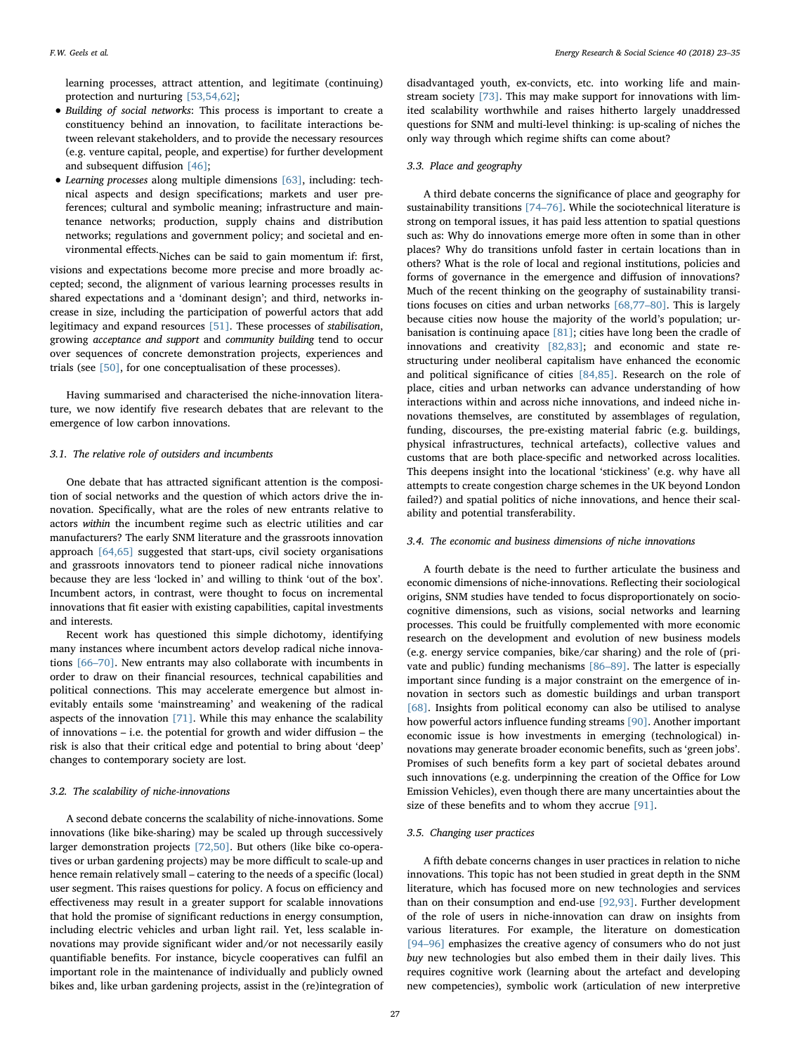learning processes, attract attention, and legitimate (continuing) protection and nurturing [\[53,54,62\]](#page-10-20);

- Building of social networks: This process is important to create a constituency behind an innovation, to facilitate interactions between relevant stakeholders, and to provide the necessary resources (e.g. venture capital, people, and expertise) for further development and subsequent diffusion [\[46\]](#page-10-17);
- Learning processes along multiple dimensions [\[63\],](#page-10-26) including: technical aspects and design specifications; markets and user preferences; cultural and symbolic meaning; infrastructure and maintenance networks; production, supply chains and distribution networks; regulations and government policy; and societal and environmental effects.<br>Niches can be said to gain momentum if: first,

visions and expectations become more precise and more broadly accepted; second, the alignment of various learning processes results in shared expectations and a 'dominant design'; and third, networks increase in size, including the participation of powerful actors that add legitimacy and expand resources [\[51\].](#page-10-25) These processes of stabilisation, growing acceptance and support and community building tend to occur over sequences of concrete demonstration projects, experiences and trials (see [\[50\]](#page-10-27), for one conceptualisation of these processes).

Having summarised and characterised the niche-innovation literature, we now identify five research debates that are relevant to the emergence of low carbon innovations.

## 3.1. The relative role of outsiders and incumbents

One debate that has attracted significant attention is the composition of social networks and the question of which actors drive the innovation. Specifically, what are the roles of new entrants relative to actors within the incumbent regime such as electric utilities and car manufacturers? The early SNM literature and the grassroots innovation approach [\[64,65\]](#page-10-28) suggested that start-ups, civil society organisations and grassroots innovators tend to pioneer radical niche innovations because they are less 'locked in' and willing to think 'out of the box'. Incumbent actors, in contrast, were thought to focus on incremental innovations that fit easier with existing capabilities, capital investments and interests.

Recent work has questioned this simple dichotomy, identifying many instances where incumbent actors develop radical niche innovations [\[66](#page-10-29)–70]. New entrants may also collaborate with incumbents in order to draw on their financial resources, technical capabilities and political connections. This may accelerate emergence but almost inevitably entails some 'mainstreaming' and weakening of the radical aspects of the innovation [\[71\]](#page-10-30). While this may enhance the scalability of innovations – i.e. the potential for growth and wider diffusion – the risk is also that their critical edge and potential to bring about 'deep' changes to contemporary society are lost.

#### 3.2. The scalability of niche-innovations

A second debate concerns the scalability of niche-innovations. Some innovations (like bike-sharing) may be scaled up through successively larger demonstration projects [\[72,50\]](#page-10-31). But others (like bike co-operatives or urban gardening projects) may be more difficult to scale-up and hence remain relatively small – catering to the needs of a specific (local) user segment. This raises questions for policy. A focus on efficiency and effectiveness may result in a greater support for scalable innovations that hold the promise of significant reductions in energy consumption, including electric vehicles and urban light rail. Yet, less scalable innovations may provide significant wider and/or not necessarily easily quantifiable benefits. For instance, bicycle cooperatives can fulfil an important role in the maintenance of individually and publicly owned bikes and, like urban gardening projects, assist in the (re)integration of

disadvantaged youth, ex-convicts, etc. into working life and mainstream society [\[73\]](#page-10-32). This may make support for innovations with limited scalability worthwhile and raises hitherto largely unaddressed questions for SNM and multi-level thinking: is up-scaling of niches the only way through which regime shifts can come about?

#### 3.3. Place and geography

A third debate concerns the significance of place and geography for sustainability transitions [\[74](#page-10-33)–76]. While the sociotechnical literature is strong on temporal issues, it has paid less attention to spatial questions such as: Why do innovations emerge more often in some than in other places? Why do transitions unfold faster in certain locations than in others? What is the role of local and regional institutions, policies and forms of governance in the emergence and diffusion of innovations? Much of the recent thinking on the geography of sustainability transitions focuses on cities and urban networks [\[68,77](#page-10-34)–80]. This is largely because cities now house the majority of the world's population; urbanisation is continuing apace [\[81\];](#page-11-0) cities have long been the cradle of innovations and creativity [\[82,83\]](#page-11-1); and economic and state restructuring under neoliberal capitalism have enhanced the economic and political significance of cities [\[84,85\].](#page-11-2) Research on the role of place, cities and urban networks can advance understanding of how interactions within and across niche innovations, and indeed niche innovations themselves, are constituted by assemblages of regulation, funding, discourses, the pre-existing material fabric (e.g. buildings, physical infrastructures, technical artefacts), collective values and customs that are both place-specific and networked across localities. This deepens insight into the locational 'stickiness' (e.g. why have all attempts to create congestion charge schemes in the UK beyond London failed?) and spatial politics of niche innovations, and hence their scalability and potential transferability.

## 3.4. The economic and business dimensions of niche innovations

A fourth debate is the need to further articulate the business and economic dimensions of niche-innovations. Reflecting their sociological origins, SNM studies have tended to focus disproportionately on sociocognitive dimensions, such as visions, social networks and learning processes. This could be fruitfully complemented with more economic research on the development and evolution of new business models (e.g. energy service companies, bike/car sharing) and the role of (private and public) funding mechanisms [86–[89\]](#page-11-3). The latter is especially important since funding is a major constraint on the emergence of innovation in sectors such as domestic buildings and urban transport [\[68\]](#page-10-34). Insights from political economy can also be utilised to analyse how powerful actors influence funding streams [\[90\]](#page-11-4). Another important economic issue is how investments in emerging (technological) innovations may generate broader economic benefits, such as 'green jobs'. Promises of such benefits form a key part of societal debates around such innovations (e.g. underpinning the creation of the Office for Low Emission Vehicles), even though there are many uncertainties about the size of these benefits and to whom they accrue [\[91\].](#page-11-5)

## 3.5. Changing user practices

A fifth debate concerns changes in user practices in relation to niche innovations. This topic has not been studied in great depth in the SNM literature, which has focused more on new technologies and services than on their consumption and end-use [\[92,93\].](#page-11-6) Further development of the role of users in niche-innovation can draw on insights from various literatures. For example, the literature on domestication [94–[96\]](#page-11-7) emphasizes the creative agency of consumers who do not just buy new technologies but also embed them in their daily lives. This requires cognitive work (learning about the artefact and developing new competencies), symbolic work (articulation of new interpretive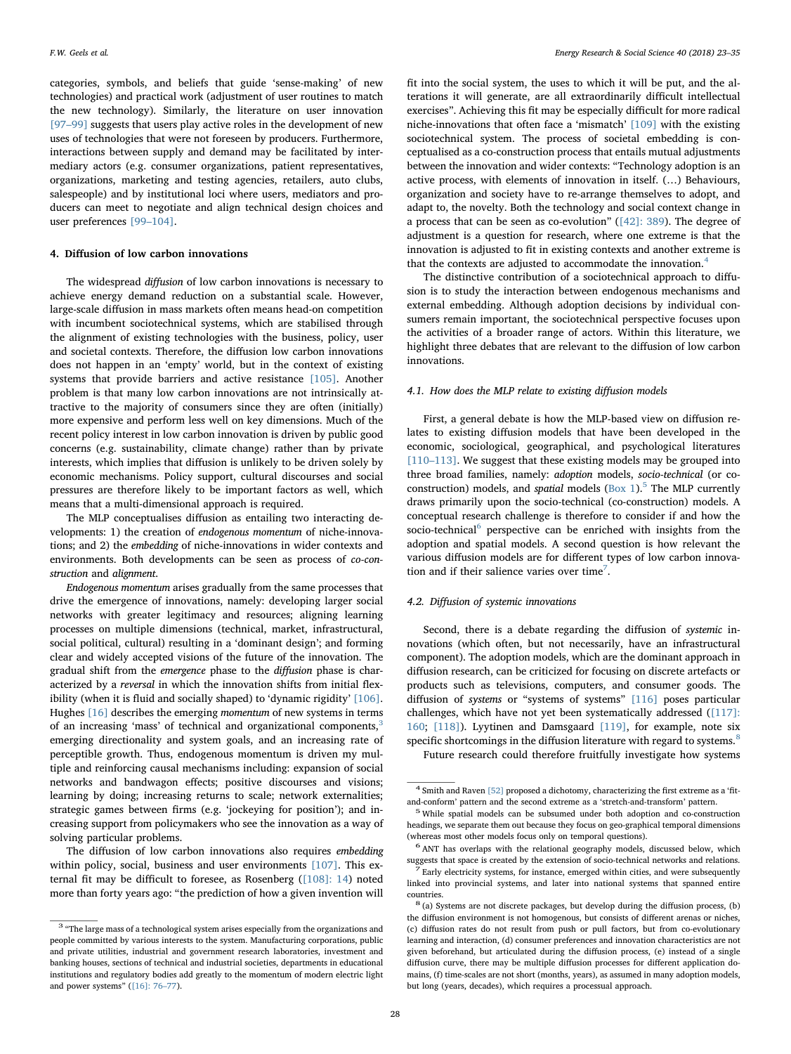categories, symbols, and beliefs that guide 'sense-making' of new technologies) and practical work (adjustment of user routines to match the new technology). Similarly, the literature on user innovation [97-[99\]](#page-11-8) suggests that users play active roles in the development of new uses of technologies that were not foreseen by producers. Furthermore, interactions between supply and demand may be facilitated by intermediary actors (e.g. consumer organizations, patient representatives, organizations, marketing and testing agencies, retailers, auto clubs, salespeople) and by institutional loci where users, mediators and producers can meet to negotiate and align technical design choices and user preferences [99–[104\]](#page-11-9).

## <span id="page-5-0"></span>4. Diffusion of low carbon innovations

The widespread diffusion of low carbon innovations is necessary to achieve energy demand reduction on a substantial scale. However, large-scale diffusion in mass markets often means head-on competition with incumbent sociotechnical systems, which are stabilised through the alignment of existing technologies with the business, policy, user and societal contexts. Therefore, the diffusion low carbon innovations does not happen in an 'empty' world, but in the context of existing systems that provide barriers and active resistance [\[105\]](#page-11-10). Another problem is that many low carbon innovations are not intrinsically attractive to the majority of consumers since they are often (initially) more expensive and perform less well on key dimensions. Much of the recent policy interest in low carbon innovation is driven by public good concerns (e.g. sustainability, climate change) rather than by private interests, which implies that diffusion is unlikely to be driven solely by economic mechanisms. Policy support, cultural discourses and social pressures are therefore likely to be important factors as well, which means that a multi-dimensional approach is required.

The MLP conceptualises diffusion as entailing two interacting developments: 1) the creation of endogenous momentum of niche-innovations; and 2) the embedding of niche-innovations in wider contexts and environments. Both developments can be seen as process of co-construction and alignment.

Endogenous momentum arises gradually from the same processes that drive the emergence of innovations, namely: developing larger social networks with greater legitimacy and resources; aligning learning processes on multiple dimensions (technical, market, infrastructural, social political, cultural) resulting in a 'dominant design'; and forming clear and widely accepted visions of the future of the innovation. The gradual shift from the emergence phase to the diffusion phase is characterized by a reversal in which the innovation shifts from initial flexibility (when it is fluid and socially shaped) to 'dynamic rigidity' [\[106\]](#page-11-11). Hughes [\[16\]](#page-10-2) describes the emerging momentum of new systems in terms of an increasing 'mass' of technical and organizational components,<sup>[3](#page-5-1)</sup> emerging directionality and system goals, and an increasing rate of perceptible growth. Thus, endogenous momentum is driven my multiple and reinforcing causal mechanisms including: expansion of social networks and bandwagon effects; positive discourses and visions; learning by doing; increasing returns to scale; network externalities; strategic games between firms (e.g. 'jockeying for position'); and increasing support from policymakers who see the innovation as a way of solving particular problems.

The diffusion of low carbon innovations also requires embedding within policy, social, business and user environments [\[107\].](#page-11-12) This external fit may be difficult to foresee, as Rosenberg ([\[108\]: 14](#page-11-13)) noted more than forty years ago: "the prediction of how a given invention will

fit into the social system, the uses to which it will be put, and the alterations it will generate, are all extraordinarily difficult intellectual exercises". Achieving this fit may be especially difficult for more radical niche-innovations that often face a 'mismatch' [\[109\]](#page-11-14) with the existing sociotechnical system. The process of societal embedding is conceptualised as a co-construction process that entails mutual adjustments between the innovation and wider contexts: "Technology adoption is an active process, with elements of innovation in itself. (…) Behaviours, organization and society have to re-arrange themselves to adopt, and adapt to, the novelty. Both the technology and social context change in a process that can be seen as co-evolution" [\(\[42\]: 389](#page-10-13)). The degree of adjustment is a question for research, where one extreme is that the innovation is adjusted to fit in existing contexts and another extreme is that the contexts are adjusted to accommodate the innovation.<sup>[4](#page-5-2)</sup>

The distinctive contribution of a sociotechnical approach to diffusion is to study the interaction between endogenous mechanisms and external embedding. Although adoption decisions by individual consumers remain important, the sociotechnical perspective focuses upon the activities of a broader range of actors. Within this literature, we highlight three debates that are relevant to the diffusion of low carbon innovations.

#### 4.1. How does the MLP relate to existing diffusion models

First, a general debate is how the MLP-based view on diffusion relates to existing diffusion models that have been developed in the economic, sociological, geographical, and psychological literatures [110–[113\]](#page-11-15). We suggest that these existing models may be grouped into three broad families, namely: adoption models, socio-technical (or coconstruction) models, and *spatial* models ( $Box\ 1$ ).<sup>[5](#page-5-3)</sup> The MLP currently draws primarily upon the socio-technical (co-construction) models. A conceptual research challenge is therefore to consider if and how the socio-technical<sup>[6](#page-5-4)</sup> perspective can be enriched with insights from the adoption and spatial models. A second question is how relevant the various diffusion models are for different types of low carbon innovation and if their salience varies over time<sup>7</sup>.

## 4.2. Diffusion of systemic innovations

Second, there is a debate regarding the diffusion of systemic innovations (which often, but not necessarily, have an infrastructural component). The adoption models, which are the dominant approach in diffusion research, can be criticized for focusing on discrete artefacts or products such as televisions, computers, and consumer goods. The diffusion of *systems* or "systems of systems" [\[116\]](#page-11-16) poses particular challenges, which have not yet been systematically addressed [\(\[117\]:](#page-11-17) [160](#page-11-17); [\[118\]\)](#page-11-18). Lyytinen and Damsgaard [\[119\],](#page-11-19) for example, note six specific shortcomings in the diffusion literature with regard to systems.<sup>[8](#page-5-6)</sup>

Future research could therefore fruitfully investigate how systems

<span id="page-5-1"></span><sup>&</sup>lt;sup>3</sup> "The large mass of a technological system arises especially from the organizations and people committed by various interests to the system. Manufacturing corporations, public and private utilities, industrial and government research laboratories, investment and banking houses, sections of technical and industrial societies, departments in educational institutions and regulatory bodies add greatly to the momentum of modern electric light and power systems" [\(\[16\]: 76](#page-10-2)–77).

<span id="page-5-2"></span><sup>4</sup> Smith and Raven [\[52\]](#page-10-35) proposed a dichotomy, characterizing the first extreme as a 'fit-

<span id="page-5-3"></span>and-conform' pattern and the second extreme as a 'stretch-and-transform' pattern. <sup>5</sup> While spatial models can be subsumed under both adoption and co-construction headings, we separate them out because they focus on geo-graphical temporal dimensions (whereas most other models focus only on temporal questions). <sup>6</sup> ANT has overlaps with the relational geography models, discussed below, which

<span id="page-5-4"></span>suggests that space is created by the extension of socio-technical networks and relations.<br><sup>7</sup> Early electricity systems, for instance, emerged within cities, and were subsequently

<span id="page-5-5"></span>linked into provincial systems, and later into national systems that spanned entire countries. <sup>8</sup> (a) Systems are not discrete packages, but develop during the diffusion process, (b)

<span id="page-5-6"></span>the diffusion environment is not homogenous, but consists of different arenas or niches, (c) diffusion rates do not result from push or pull factors, but from co-evolutionary learning and interaction, (d) consumer preferences and innovation characteristics are not given beforehand, but articulated during the diffusion process, (e) instead of a single diffusion curve, there may be multiple diffusion processes for different application domains, (f) time-scales are not short (months, years), as assumed in many adoption models, but long (years, decades), which requires a processual approach.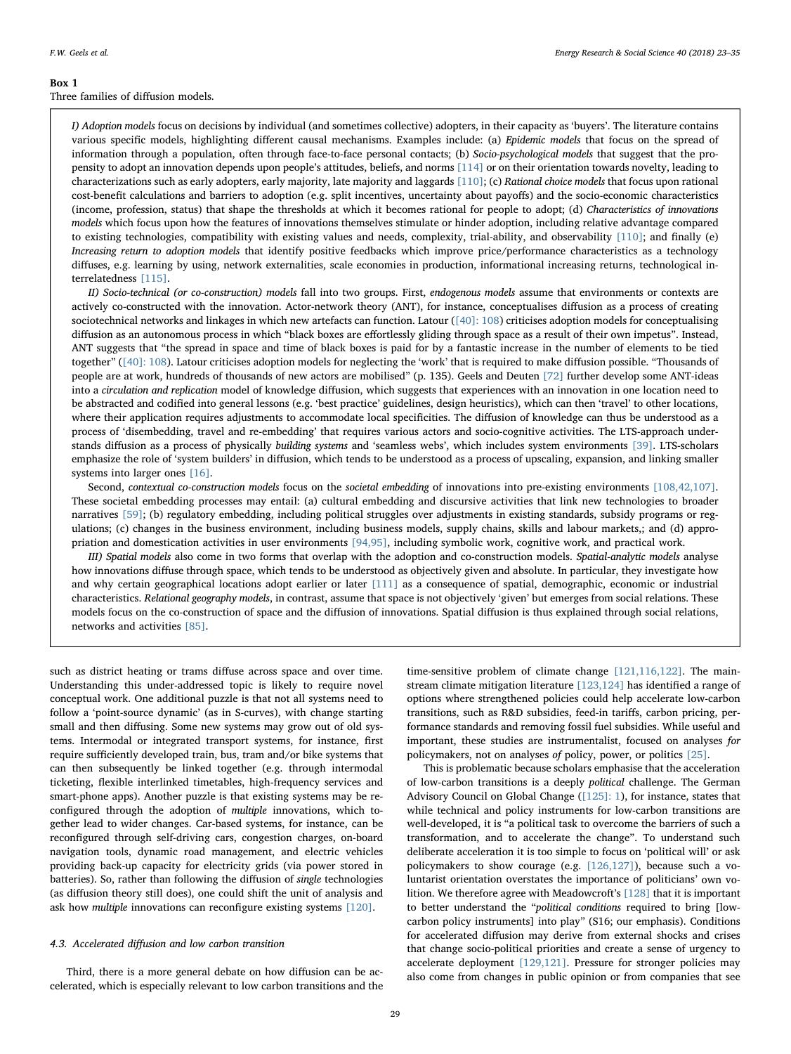<span id="page-6-0"></span>Three families of diffusion models.

I) Adoption models focus on decisions by individual (and sometimes collective) adopters, in their capacity as 'buyers'. The literature contains various specific models, highlighting different causal mechanisms. Examples include: (a) Epidemic models that focus on the spread of information through a population, often through face-to-face personal contacts; (b) Socio-psychological models that suggest that the propensity to adopt an innovation depends upon people's attitudes, beliefs, and norms [\[114\]](#page-11-27) or on their orientation towards novelty, leading to characterizations such as early adopters, early majority, late majority and laggards [\[110\]](#page-11-15); (c) Rational choice models that focus upon rational cost-benefit calculations and barriers to adoption (e.g. split incentives, uncertainty about payoffs) and the socio-economic characteristics (income, profession, status) that shape the thresholds at which it becomes rational for people to adopt; (d) Characteristics of innovations models which focus upon how the features of innovations themselves stimulate or hinder adoption, including relative advantage compared to existing technologies, compatibility with existing values and needs, complexity, trial-ability, and observability [\[110\]](#page-11-15); and finally (e) Increasing return to adoption models that identify positive feedbacks which improve price/performance characteristics as a technology diffuses, e.g. learning by using, network externalities, scale economies in production, informational increasing returns, technological interrelatedness [\[115\].](#page-11-28)

II) Socio-technical (or co-construction) models fall into two groups. First, endogenous models assume that environments or contexts are actively co-constructed with the innovation. Actor-network theory (ANT), for instance, conceptualises diffusion as a process of creating sociotechnical networks and linkages in which new artefacts can function. Latour ([\[40\]: 108](#page-10-11)) criticises adoption models for conceptualising diffusion as an autonomous process in which "black boxes are effortlessly gliding through space as a result of their own impetus". Instead, ANT suggests that "the spread in space and time of black boxes is paid for by a fantastic increase in the number of elements to be tied together" [\(\[40\]: 108\)](#page-10-11). Latour criticises adoption models for neglecting the 'work' that is required to make diffusion possible. "Thousands of people are at work, hundreds of thousands of new actors are mobilised" (p. 135). Geels and Deuten [\[72\]](#page-10-31) further develop some ANT-ideas into a circulation and replication model of knowledge diffusion, which suggests that experiences with an innovation in one location need to be abstracted and codified into general lessons (e.g. 'best practice' guidelines, design heuristics), which can then 'travel' to other locations, where their application requires adjustments to accommodate local specificities. The diffusion of knowledge can thus be understood as a process of 'disembedding, travel and re-embedding' that requires various actors and socio-cognitive activities. The LTS-approach understands diffusion as a process of physically building systems and 'seamless webs', which includes system environments [\[39\].](#page-10-10) LTS-scholars emphasize the role of 'system builders' in diffusion, which tends to be understood as a process of upscaling, expansion, and linking smaller systems into larger ones [\[16\]](#page-10-2).

Second, contextual co-construction models focus on the societal embedding of innovations into pre-existing environments [\[108,42,107\].](#page-11-13) These societal embedding processes may entail: (a) cultural embedding and discursive activities that link new technologies to broader narratives [\[59\];](#page-10-23) (b) regulatory embedding, including political struggles over adjustments in existing standards, subsidy programs or regulations; (c) changes in the business environment, including business models, supply chains, skills and labour markets,; and (d) appropriation and domestication activities in user environments [\[94,95\],](#page-11-7) including symbolic work, cognitive work, and practical work.

III) Spatial models also come in two forms that overlap with the adoption and co-construction models. Spatial-analytic models analyse how innovations diffuse through space, which tends to be understood as objectively given and absolute. In particular, they investigate how and why certain geographical locations adopt earlier or later [\[111\]](#page-11-29) as a consequence of spatial, demographic, economic or industrial characteristics. Relational geography models, in contrast, assume that space is not objectively 'given' but emerges from social relations. These models focus on the co-construction of space and the diffusion of innovations. Spatial diffusion is thus explained through social relations, networks and activities [\[85\].](#page-11-30)

such as district heating or trams diffuse across space and over time. Understanding this under-addressed topic is likely to require novel conceptual work. One additional puzzle is that not all systems need to follow a 'point-source dynamic' (as in S-curves), with change starting small and then diffusing. Some new systems may grow out of old systems. Intermodal or integrated transport systems, for instance, first require sufficiently developed train, bus, tram and/or bike systems that can then subsequently be linked together (e.g. through intermodal ticketing, flexible interlinked timetables, high-frequency services and smart-phone apps). Another puzzle is that existing systems may be reconfigured through the adoption of multiple innovations, which together lead to wider changes. Car-based systems, for instance, can be reconfigured through self-driving cars, congestion charges, on-board navigation tools, dynamic road management, and electric vehicles providing back-up capacity for electricity grids (via power stored in batteries). So, rather than following the diffusion of single technologies (as diffusion theory still does), one could shift the unit of analysis and ask how multiple innovations can reconfigure existing systems [\[120\].](#page-11-20)

#### 4.3. Accelerated diffusion and low carbon transition

Third, there is a more general debate on how diffusion can be accelerated, which is especially relevant to low carbon transitions and the

time-sensitive problem of climate change [\[121,116,122\].](#page-11-21) The mainstream climate mitigation literature [\[123,124\]](#page-11-22) has identified a range of options where strengthened policies could help accelerate low-carbon transitions, such as R&D subsidies, feed-in tariffs, carbon pricing, performance standards and removing fossil fuel subsidies. While useful and important, these studies are instrumentalist, focused on analyses for policymakers, not on analyses of policy, power, or politics [\[25\].](#page-10-36)

This is problematic because scholars emphasise that the acceleration of low-carbon transitions is a deeply political challenge. The German Advisory Council on Global Change [\(\[125\]: 1\)](#page-11-23), for instance, states that while technical and policy instruments for low-carbon transitions are well-developed, it is "a political task to overcome the barriers of such a transformation, and to accelerate the change". To understand such deliberate acceleration it is too simple to focus on 'political will' or ask policymakers to show courage (e.g. [\[126,127\]\)](#page-11-24), because such a voluntarist orientation overstates the importance of politicians' own volition. We therefore agree with Meadowcroft's [\[128\]](#page-11-25) that it is important to better understand the "political conditions required to bring [lowcarbon policy instruments] into play" (S16; our emphasis). Conditions for accelerated diffusion may derive from external shocks and crises that change socio-political priorities and create a sense of urgency to accelerate deployment [\[129,121\].](#page-11-26) Pressure for stronger policies may also come from changes in public opinion or from companies that see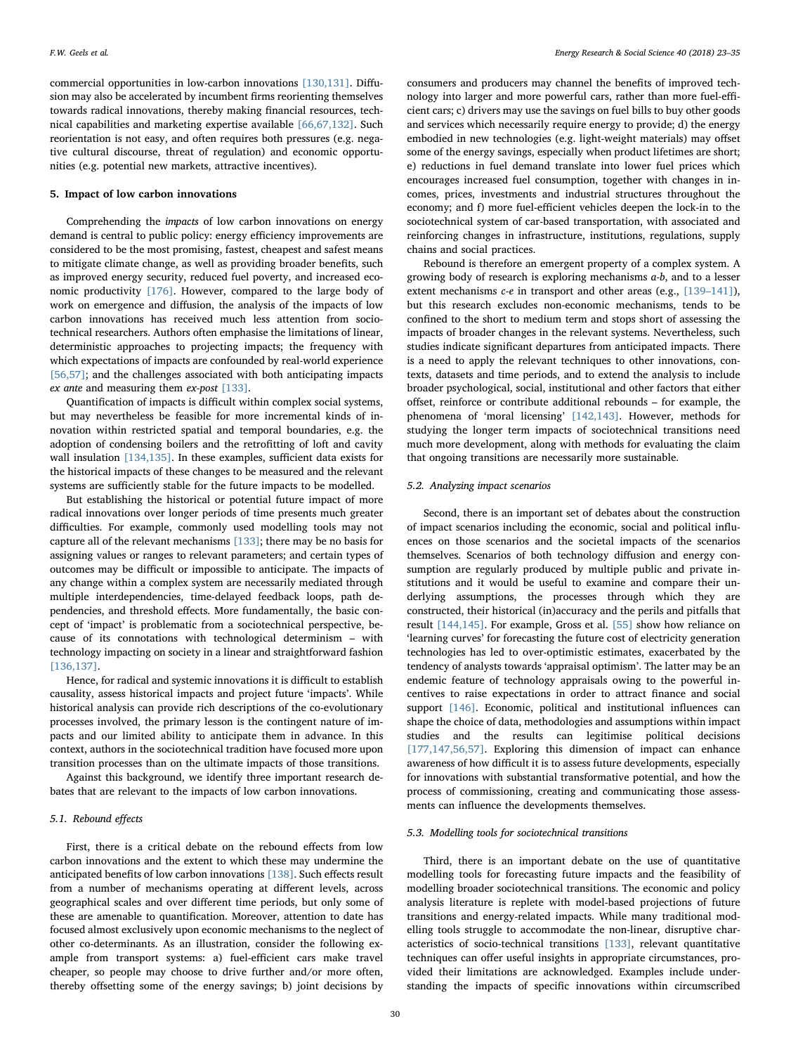commercial opportunities in low-carbon innovations [\[130,131\]](#page-11-31). Diffusion may also be accelerated by incumbent firms reorienting themselves towards radical innovations, thereby making financial resources, technical capabilities and marketing expertise available [\[66,67,132\].](#page-10-29) Such reorientation is not easy, and often requires both pressures (e.g. negative cultural discourse, threat of regulation) and economic opportunities (e.g. potential new markets, attractive incentives).

#### <span id="page-7-0"></span>5. Impact of low carbon innovations

Comprehending the impacts of low carbon innovations on energy demand is central to public policy: energy efficiency improvements are considered to be the most promising, fastest, cheapest and safest means to mitigate climate change, as well as providing broader benefits, such as improved energy security, reduced fuel poverty, and increased economic productivity [\[176\].](#page-12-1) However, compared to the large body of work on emergence and diffusion, the analysis of the impacts of low carbon innovations has received much less attention from sociotechnical researchers. Authors often emphasise the limitations of linear, deterministic approaches to projecting impacts; the frequency with which expectations of impacts are confounded by real-world experience [\[56,57\];](#page-10-37) and the challenges associated with both anticipating impacts ex ante and measuring them ex-post [\[133\].](#page-11-32)

Quantification of impacts is difficult within complex social systems, but may nevertheless be feasible for more incremental kinds of innovation within restricted spatial and temporal boundaries, e.g. the adoption of condensing boilers and the retrofitting of loft and cavity wall insulation [\[134,135\]](#page-11-33). In these examples, sufficient data exists for the historical impacts of these changes to be measured and the relevant systems are sufficiently stable for the future impacts to be modelled.

But establishing the historical or potential future impact of more radical innovations over longer periods of time presents much greater difficulties. For example, commonly used modelling tools may not capture all of the relevant mechanisms [\[133\];](#page-11-32) there may be no basis for assigning values or ranges to relevant parameters; and certain types of outcomes may be difficult or impossible to anticipate. The impacts of any change within a complex system are necessarily mediated through multiple interdependencies, time-delayed feedback loops, path dependencies, and threshold effects. More fundamentally, the basic concept of 'impact' is problematic from a sociotechnical perspective, because of its connotations with technological determinism – with technology impacting on society in a linear and straightforward fashion [\[136,137\].](#page-11-34)

Hence, for radical and systemic innovations it is difficult to establish causality, assess historical impacts and project future 'impacts'. While historical analysis can provide rich descriptions of the co-evolutionary processes involved, the primary lesson is the contingent nature of impacts and our limited ability to anticipate them in advance. In this context, authors in the sociotechnical tradition have focused more upon transition processes than on the ultimate impacts of those transitions.

Against this background, we identify three important research debates that are relevant to the impacts of low carbon innovations.

## 5.1. Rebound effects

First, there is a critical debate on the rebound effects from low carbon innovations and the extent to which these may undermine the anticipated benefits of low carbon innovations [\[138\]](#page-11-35). Such effects result from a number of mechanisms operating at different levels, across geographical scales and over different time periods, but only some of these are amenable to quantification. Moreover, attention to date has focused almost exclusively upon economic mechanisms to the neglect of other co-determinants. As an illustration, consider the following example from transport systems: a) fuel-efficient cars make travel cheaper, so people may choose to drive further and/or more often, thereby offsetting some of the energy savings; b) joint decisions by

consumers and producers may channel the benefits of improved technology into larger and more powerful cars, rather than more fuel-efficient cars; c) drivers may use the savings on fuel bills to buy other goods and services which necessarily require energy to provide; d) the energy embodied in new technologies (e.g. light-weight materials) may offset some of the energy savings, especially when product lifetimes are short; e) reductions in fuel demand translate into lower fuel prices which encourages increased fuel consumption, together with changes in incomes, prices, investments and industrial structures throughout the economy; and f) more fuel-efficient vehicles deepen the lock-in to the sociotechnical system of car-based transportation, with associated and reinforcing changes in infrastructure, institutions, regulations, supply chains and social practices.

Rebound is therefore an emergent property of a complex system. A growing body of research is exploring mechanisms a-b, and to a lesser extent mechanisms *c-e* in transport and other areas (e.g., [\[139](#page-11-36)-141]), but this research excludes non-economic mechanisms, tends to be confined to the short to medium term and stops short of assessing the impacts of broader changes in the relevant systems. Nevertheless, such studies indicate significant departures from anticipated impacts. There is a need to apply the relevant techniques to other innovations, contexts, datasets and time periods, and to extend the analysis to include broader psychological, social, institutional and other factors that either offset, reinforce or contribute additional rebounds – for example, the phenomena of 'moral licensing' [\[142,143\]](#page-11-37). However, methods for studying the longer term impacts of sociotechnical transitions need much more development, along with methods for evaluating the claim that ongoing transitions are necessarily more sustainable.

#### 5.2. Analyzing impact scenarios

Second, there is an important set of debates about the construction of impact scenarios including the economic, social and political influences on those scenarios and the societal impacts of the scenarios themselves. Scenarios of both technology diffusion and energy consumption are regularly produced by multiple public and private institutions and it would be useful to examine and compare their underlying assumptions, the processes through which they are constructed, their historical (in)accuracy and the perils and pitfalls that result [\[144,145\].](#page-11-38) For example, Gross et al. [\[55\]](#page-10-21) show how reliance on 'learning curves' for forecasting the future cost of electricity generation technologies has led to over-optimistic estimates, exacerbated by the tendency of analysts towards 'appraisal optimism'. The latter may be an endemic feature of technology appraisals owing to the powerful incentives to raise expectations in order to attract finance and social support [\[146\]](#page-11-39). Economic, political and institutional influences can shape the choice of data, methodologies and assumptions within impact studies and the results can legitimise political decisions [\[177,147,56,57\].](#page-12-2) Exploring this dimension of impact can enhance awareness of how difficult it is to assess future developments, especially for innovations with substantial transformative potential, and how the process of commissioning, creating and communicating those assessments can influence the developments themselves.

## 5.3. Modelling tools for sociotechnical transitions

Third, there is an important debate on the use of quantitative modelling tools for forecasting future impacts and the feasibility of modelling broader sociotechnical transitions. The economic and policy analysis literature is replete with model-based projections of future transitions and energy-related impacts. While many traditional modelling tools struggle to accommodate the non-linear, disruptive characteristics of socio-technical transitions [\[133\]](#page-11-32), relevant quantitative techniques can offer useful insights in appropriate circumstances, provided their limitations are acknowledged. Examples include understanding the impacts of specific innovations within circumscribed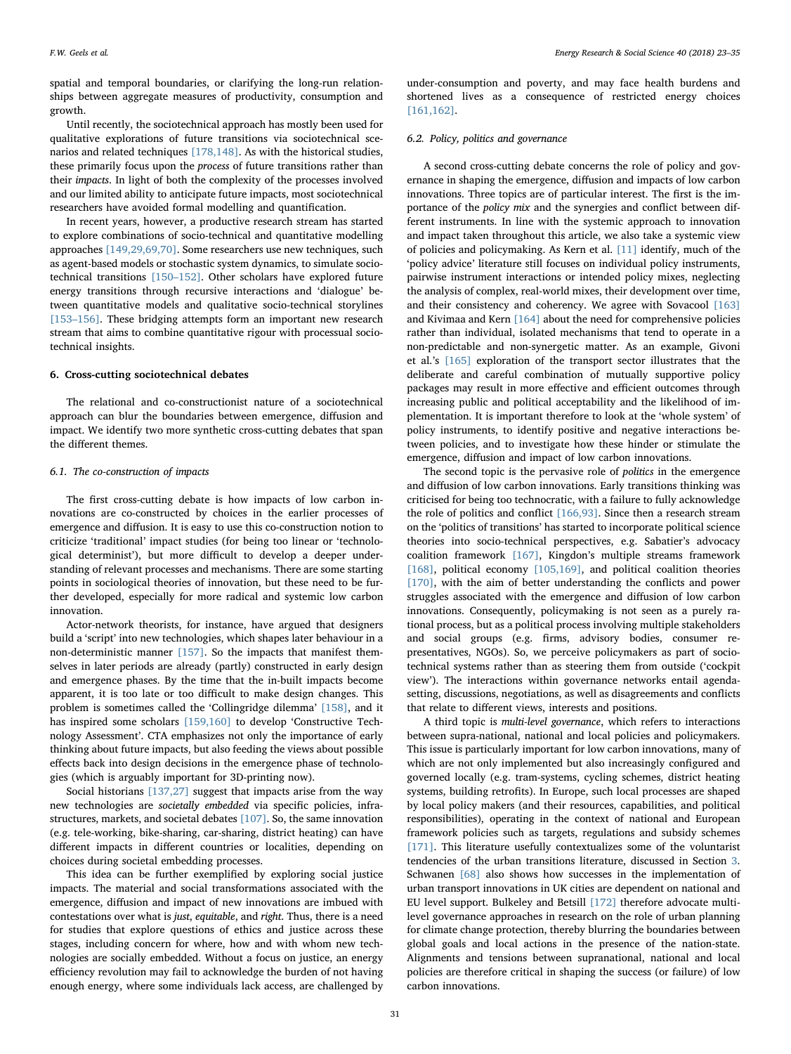spatial and temporal boundaries, or clarifying the long-run relationships between aggregate measures of productivity, consumption and growth.

Until recently, the sociotechnical approach has mostly been used for qualitative explorations of future transitions via sociotechnical scenarios and related techniques [\[178,148\].](#page-12-3) As with the historical studies, these primarily focus upon the process of future transitions rather than their impacts. In light of both the complexity of the processes involved and our limited ability to anticipate future impacts, most sociotechnical researchers have avoided formal modelling and quantification.

In recent years, however, a productive research stream has started to explore combinations of socio-technical and quantitative modelling approaches [\[149,29,69,70\]](#page-11-40). Some researchers use new techniques, such as agent-based models or stochastic system dynamics, to simulate sociotechnical transitions [\[150](#page-11-41)–152]. Other scholars have explored future energy transitions through recursive interactions and 'dialogue' between quantitative models and qualitative socio-technical storylines [153–[156\]](#page-12-4). These bridging attempts form an important new research stream that aims to combine quantitative rigour with processual sociotechnical insights.

## <span id="page-8-0"></span>6. Cross-cutting sociotechnical debates

The relational and co-constructionist nature of a sociotechnical approach can blur the boundaries between emergence, diffusion and impact. We identify two more synthetic cross-cutting debates that span the different themes.

#### 6.1. The co-construction of impacts

The first cross-cutting debate is how impacts of low carbon innovations are co-constructed by choices in the earlier processes of emergence and diffusion. It is easy to use this co-construction notion to criticize 'traditional' impact studies (for being too linear or 'technological determinist'), but more difficult to develop a deeper understanding of relevant processes and mechanisms. There are some starting points in sociological theories of innovation, but these need to be further developed, especially for more radical and systemic low carbon innovation.

Actor-network theorists, for instance, have argued that designers build a 'script' into new technologies, which shapes later behaviour in a non-deterministic manner [\[157\].](#page-12-5) So the impacts that manifest themselves in later periods are already (partly) constructed in early design and emergence phases. By the time that the in-built impacts become apparent, it is too late or too difficult to make design changes. This problem is sometimes called the 'Collingridge dilemma' [\[158\],](#page-12-6) and it has inspired some scholars [\[159,160\]](#page-12-7) to develop 'Constructive Technology Assessment'. CTA emphasizes not only the importance of early thinking about future impacts, but also feeding the views about possible effects back into design decisions in the emergence phase of technologies (which is arguably important for 3D-printing now).

Social historians [\[137,27\]](#page-11-42) suggest that impacts arise from the way new technologies are societally embedded via specific policies, infrastructures, markets, and societal debates [\[107\].](#page-11-12) So, the same innovation (e.g. tele-working, bike-sharing, car-sharing, district heating) can have different impacts in different countries or localities, depending on choices during societal embedding processes.

This idea can be further exemplified by exploring social justice impacts. The material and social transformations associated with the emergence, diffusion and impact of new innovations are imbued with contestations over what is just, equitable, and right. Thus, there is a need for studies that explore questions of ethics and justice across these stages, including concern for where, how and with whom new technologies are socially embedded. Without a focus on justice, an energy efficiency revolution may fail to acknowledge the burden of not having enough energy, where some individuals lack access, are challenged by

under-consumption and poverty, and may face health burdens and shortened lives as a consequence of restricted energy choices [\[161,162\]](#page-12-8).

#### 6.2. Policy, politics and governance

A second cross-cutting debate concerns the role of policy and governance in shaping the emergence, diffusion and impacts of low carbon innovations. Three topics are of particular interest. The first is the importance of the policy mix and the synergies and conflict between different instruments. In line with the systemic approach to innovation and impact taken throughout this article, we also take a systemic view of policies and policymaking. As Kern et al. [\[11\]](#page-9-6) identify, much of the 'policy advice' literature still focuses on individual policy instruments, pairwise instrument interactions or intended policy mixes, neglecting the analysis of complex, real-world mixes, their development over time, and their consistency and coherency. We agree with Sovacool [\[163\]](#page-12-9) and Kivimaa and Kern [\[164\]](#page-12-10) about the need for comprehensive policies rather than individual, isolated mechanisms that tend to operate in a non-predictable and non-synergetic matter. As an example, Givoni et al.'s [\[165\]](#page-12-11) exploration of the transport sector illustrates that the deliberate and careful combination of mutually supportive policy packages may result in more effective and efficient outcomes through increasing public and political acceptability and the likelihood of implementation. It is important therefore to look at the 'whole system' of policy instruments, to identify positive and negative interactions between policies, and to investigate how these hinder or stimulate the emergence, diffusion and impact of low carbon innovations.

The second topic is the pervasive role of politics in the emergence and diffusion of low carbon innovations. Early transitions thinking was criticised for being too technocratic, with a failure to fully acknowledge the role of politics and conflict [\[166,93\].](#page-12-12) Since then a research stream on the 'politics of transitions' has started to incorporate political science theories into socio-technical perspectives, e.g. Sabatier's advocacy coalition framework [\[167\]](#page-12-13), Kingdon's multiple streams framework [\[168\],](#page-12-14) political economy [\[105,169\],](#page-11-10) and political coalition theories [\[170\],](#page-12-15) with the aim of better understanding the conflicts and power struggles associated with the emergence and diffusion of low carbon innovations. Consequently, policymaking is not seen as a purely rational process, but as a political process involving multiple stakeholders and social groups (e.g. firms, advisory bodies, consumer representatives, NGOs). So, we perceive policymakers as part of sociotechnical systems rather than as steering them from outside ('cockpit view'). The interactions within governance networks entail agendasetting, discussions, negotiations, as well as disagreements and conflicts that relate to different views, interests and positions.

A third topic is multi-level governance, which refers to interactions between supra-national, national and local policies and policymakers. This issue is particularly important for low carbon innovations, many of which are not only implemented but also increasingly configured and governed locally (e.g. tram-systems, cycling schemes, district heating systems, building retrofits). In Europe, such local processes are shaped by local policy makers (and their resources, capabilities, and political responsibilities), operating in the context of national and European framework policies such as targets, regulations and subsidy schemes [\[171\].](#page-12-16) This literature usefully contextualizes some of the voluntarist tendencies of the urban transitions literature, discussed in Section [3](#page-3-0). Schwanen [\[68\]](#page-10-34) also shows how successes in the implementation of urban transport innovations in UK cities are dependent on national and EU level support. Bulkeley and Betsill [\[172\]](#page-12-17) therefore advocate multilevel governance approaches in research on the role of urban planning for climate change protection, thereby blurring the boundaries between global goals and local actions in the presence of the nation-state. Alignments and tensions between supranational, national and local policies are therefore critical in shaping the success (or failure) of low carbon innovations.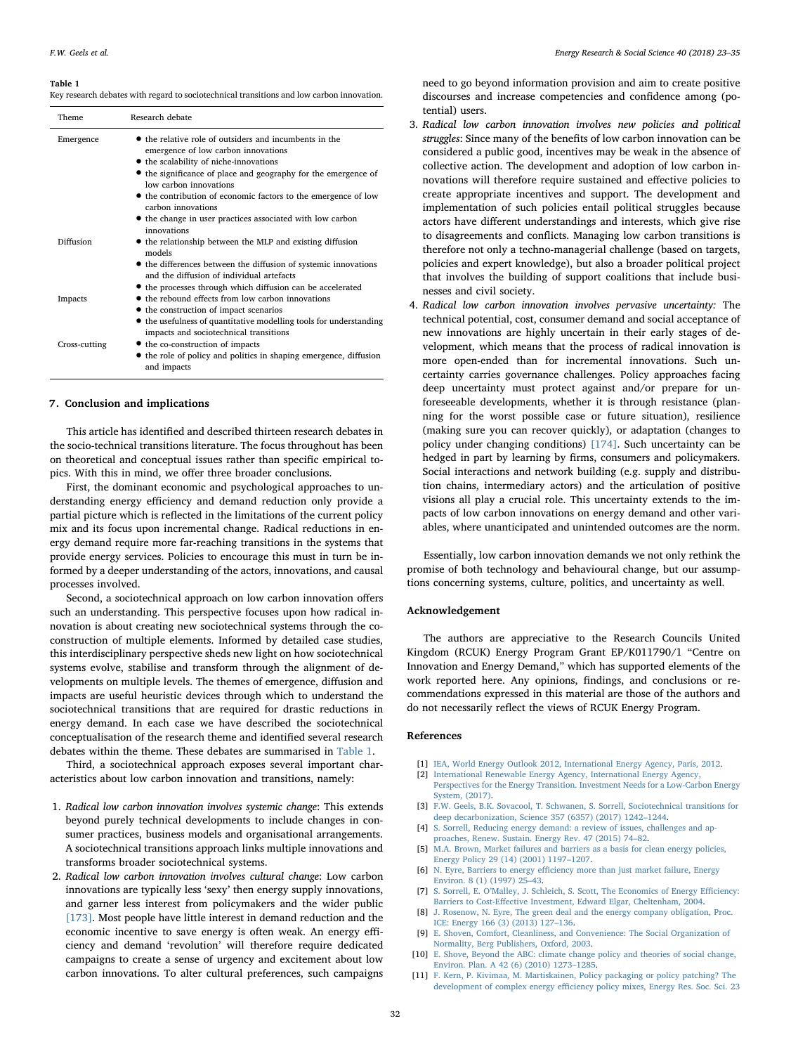#### <span id="page-9-8"></span>Table 1

Key research debates with regard to sociotechnical transitions and low carbon innovation.

| Theme         | Research debate                                                                                                                                                                                                                                                                                       |
|---------------|-------------------------------------------------------------------------------------------------------------------------------------------------------------------------------------------------------------------------------------------------------------------------------------------------------|
| Emergence     | • the relative role of outsiders and incumbents in the<br>emergence of low carbon innovations<br>• the scalability of niche-innovations<br>• the significance of place and geography for the emergence of<br>low carbon innovations<br>• the contribution of economic factors to the emergence of low |
|               | carbon innovations                                                                                                                                                                                                                                                                                    |
|               | • the change in user practices associated with low carbon<br>innovations                                                                                                                                                                                                                              |
| Diffusion     | • the relationship between the MLP and existing diffusion<br>models                                                                                                                                                                                                                                   |
|               | • the differences between the diffusion of systemic innovations<br>and the diffusion of individual artefacts                                                                                                                                                                                          |
|               | • the processes through which diffusion can be accelerated                                                                                                                                                                                                                                            |
| Impacts       | • the rebound effects from low carbon innovations                                                                                                                                                                                                                                                     |
|               | • the construction of impact scenarios<br>• the usefulness of quantitative modelling tools for understanding                                                                                                                                                                                          |
|               | impacts and sociotechnical transitions                                                                                                                                                                                                                                                                |
| Cross-cutting | • the co-construction of impacts<br>• the role of policy and politics in shaping emergence, diffusion<br>and impacts                                                                                                                                                                                  |

## <span id="page-9-7"></span>7. Conclusion and implications

This article has identified and described thirteen research debates in the socio-technical transitions literature. The focus throughout has been on theoretical and conceptual issues rather than specific empirical topics. With this in mind, we offer three broader conclusions.

First, the dominant economic and psychological approaches to understanding energy efficiency and demand reduction only provide a partial picture which is reflected in the limitations of the current policy mix and its focus upon incremental change. Radical reductions in energy demand require more far-reaching transitions in the systems that provide energy services. Policies to encourage this must in turn be informed by a deeper understanding of the actors, innovations, and causal processes involved.

Second, a sociotechnical approach on low carbon innovation offers such an understanding. This perspective focuses upon how radical innovation is about creating new sociotechnical systems through the coconstruction of multiple elements. Informed by detailed case studies, this interdisciplinary perspective sheds new light on how sociotechnical systems evolve, stabilise and transform through the alignment of developments on multiple levels. The themes of emergence, diffusion and impacts are useful heuristic devices through which to understand the sociotechnical transitions that are required for drastic reductions in energy demand. In each case we have described the sociotechnical conceptualisation of the research theme and identified several research debates within the theme. These debates are summarised in [Table 1](#page-9-8).

Third, a sociotechnical approach exposes several important characteristics about low carbon innovation and transitions, namely:

- 1. Radical low carbon innovation involves systemic change: This extends beyond purely technical developments to include changes in consumer practices, business models and organisational arrangements. A sociotechnical transitions approach links multiple innovations and transforms broader sociotechnical systems.
- 2. Radical low carbon innovation involves cultural change: Low carbon innovations are typically less 'sexy' then energy supply innovations, and garner less interest from policymakers and the wider public [\[173\].](#page-12-18) Most people have little interest in demand reduction and the economic incentive to save energy is often weak. An energy efficiency and demand 'revolution' will therefore require dedicated campaigns to create a sense of urgency and excitement about low carbon innovations. To alter cultural preferences, such campaigns

need to go beyond information provision and aim to create positive discourses and increase competencies and confidence among (potential) users.

- 3. Radical low carbon innovation involves new policies and political struggles: Since many of the benefits of low carbon innovation can be considered a public good, incentives may be weak in the absence of collective action. The development and adoption of low carbon innovations will therefore require sustained and effective policies to create appropriate incentives and support. The development and implementation of such policies entail political struggles because actors have different understandings and interests, which give rise to disagreements and conflicts. Managing low carbon transitions is therefore not only a techno-managerial challenge (based on targets, policies and expert knowledge), but also a broader political project that involves the building of support coalitions that include businesses and civil society.
- 4. Radical low carbon innovation involves pervasive uncertainty: The technical potential, cost, consumer demand and social acceptance of new innovations are highly uncertain in their early stages of development, which means that the process of radical innovation is more open-ended than for incremental innovations. Such uncertainty carries governance challenges. Policy approaches facing deep uncertainty must protect against and/or prepare for unforeseeable developments, whether it is through resistance (planning for the worst possible case or future situation), resilience (making sure you can recover quickly), or adaptation (changes to policy under changing conditions) [\[174\].](#page-12-19) Such uncertainty can be hedged in part by learning by firms, consumers and policymakers. Social interactions and network building (e.g. supply and distribution chains, intermediary actors) and the articulation of positive visions all play a crucial role. This uncertainty extends to the impacts of low carbon innovations on energy demand and other variables, where unanticipated and unintended outcomes are the norm.

Essentially, low carbon innovation demands we not only rethink the promise of both technology and behavioural change, but our assumptions concerning systems, culture, politics, and uncertainty as well.

## Acknowledgement

The authors are appreciative to the Research Councils United Kingdom (RCUK) Energy Program Grant EP/K011790/1 "Centre on Innovation and Energy Demand," which has supported elements of the work reported here. Any opinions, findings, and conclusions or recommendations expressed in this material are those of the authors and do not necessarily reflect the views of RCUK Energy Program.

#### References

- <span id="page-9-0"></span>[1] [IEA, World Energy Outlook 2012, International Energy Agency, Paris, 2012.](http://refhub.elsevier.com/S2214-6296(17)30390-0/sbref0005)
- <span id="page-9-1"></span>[2] [International Renewable Energy Agency, International Energy Agency,](http://refhub.elsevier.com/S2214-6296(17)30390-0/sbref0010) [Perspectives for the Energy Transition. Investment Needs for a Low-Carbon Energy](http://refhub.elsevier.com/S2214-6296(17)30390-0/sbref0010) [System, \(2017\).](http://refhub.elsevier.com/S2214-6296(17)30390-0/sbref0010)
- <span id="page-9-2"></span>[3] [F.W. Geels, B.K. Sovacool, T. Schwanen, S. Sorrell, Sociotechnical transitions for](http://refhub.elsevier.com/S2214-6296(17)30390-0/sbref0015) [deep decarbonization, Science 357 \(6357\) \(2017\) 1242](http://refhub.elsevier.com/S2214-6296(17)30390-0/sbref0015)–1244.
- <span id="page-9-3"></span>[4] [S. Sorrell, Reducing energy demand: a review of issues, challenges and ap](http://refhub.elsevier.com/S2214-6296(17)30390-0/sbref0020)[proaches, Renew. Sustain. Energy Rev. 47 \(2015\) 74](http://refhub.elsevier.com/S2214-6296(17)30390-0/sbref0020)–82.
- <span id="page-9-4"></span>[5] [M.A. Brown, Market failures and barriers as a basis for clean energy policies,](http://refhub.elsevier.com/S2214-6296(17)30390-0/sbref0025) [Energy Policy 29 \(14\) \(2001\) 1197](http://refhub.elsevier.com/S2214-6296(17)30390-0/sbref0025)–1207.
- [6] N. Eyre, Barriers to energy effi[ciency more than just market failure, Energy](http://refhub.elsevier.com/S2214-6296(17)30390-0/sbref0030) [Environ. 8 \(1\) \(1997\) 25](http://refhub.elsevier.com/S2214-6296(17)30390-0/sbref0030)–43.
- [7] S. Sorrell, E. O'[Malley, J. Schleich, S. Scott, The Economics of Energy E](http://refhub.elsevier.com/S2214-6296(17)30390-0/sbref0035)fficiency: Barriers to Cost-Eff[ective Investment, Edward Elgar, Cheltenham, 2004.](http://refhub.elsevier.com/S2214-6296(17)30390-0/sbref0035)
- [8] [J. Rosenow, N. Eyre, The green deal and the energy company obligation, Proc.](http://refhub.elsevier.com/S2214-6296(17)30390-0/sbref0040) [ICE: Energy 166 \(3\) \(2013\) 127](http://refhub.elsevier.com/S2214-6296(17)30390-0/sbref0040)–136.
- <span id="page-9-5"></span>[9] [E. Shoven, Comfort, Cleanliness, and Convenience: The Social Organization of](http://refhub.elsevier.com/S2214-6296(17)30390-0/sbref0045) [Normality, Berg Publishers, Oxford, 2003.](http://refhub.elsevier.com/S2214-6296(17)30390-0/sbref0045)
- [10] [E. Shove, Beyond the ABC: climate change policy and theories of social change,](http://refhub.elsevier.com/S2214-6296(17)30390-0/sbref0050) [Environ. Plan. A 42 \(6\) \(2010\) 1273](http://refhub.elsevier.com/S2214-6296(17)30390-0/sbref0050)–1285.
- <span id="page-9-6"></span>[11] [F. Kern, P. Kivimaa, M. Martiskainen, Policy packaging or policy patching? The](http://refhub.elsevier.com/S2214-6296(17)30390-0/sbref0055) development of complex energy effi[ciency policy mixes, Energy Res. Soc. Sci. 23](http://refhub.elsevier.com/S2214-6296(17)30390-0/sbref0055)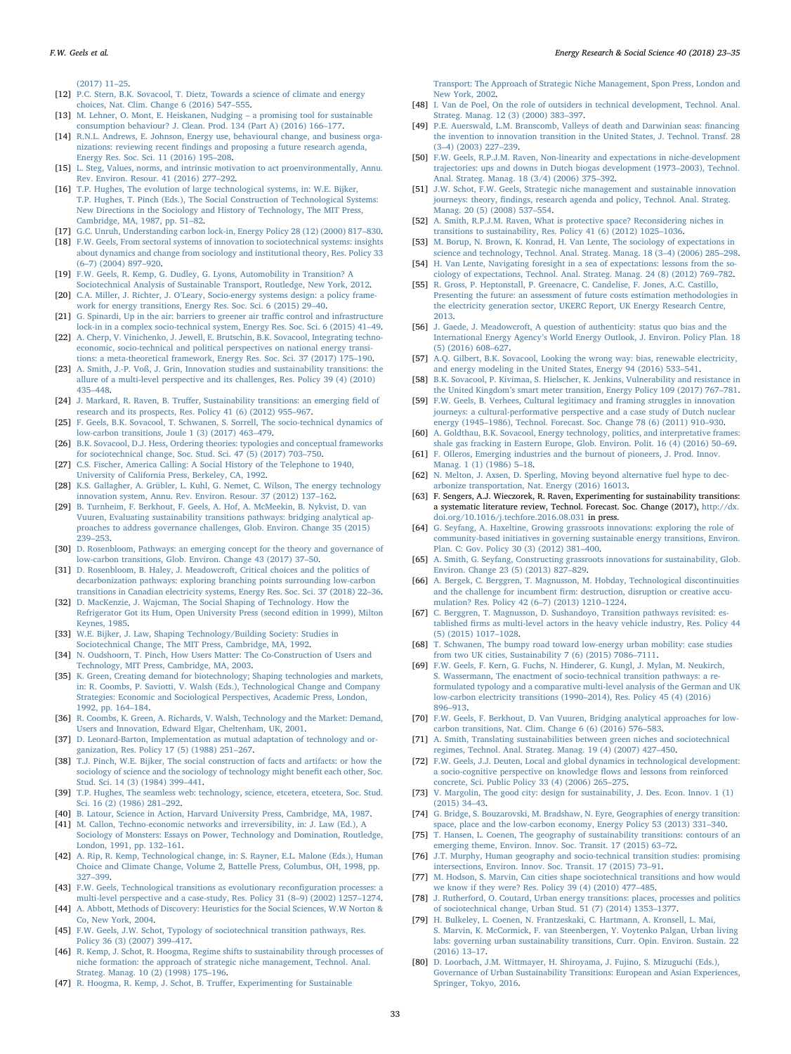F.W. Geels et al. *Energy Research & Social Science 40 (2018) 23–35*

[\(2017\) 11](http://refhub.elsevier.com/S2214-6296(17)30390-0/sbref0055)–25.

- <span id="page-10-0"></span>[12] [P.C. Stern, B.K. Sovacool, T. Dietz, Towards a science of climate and energy](http://refhub.elsevier.com/S2214-6296(17)30390-0/sbref0060) [choices, Nat. Clim. Change 6 \(2016\) 547](http://refhub.elsevier.com/S2214-6296(17)30390-0/sbref0060)–555.
- <span id="page-10-1"></span>[13] [M. Lehner, O. Mont, E. Heiskanen, Nudging](http://refhub.elsevier.com/S2214-6296(17)30390-0/sbref0065) – a promising tool for sustainable [consumption behaviour? J. Clean. Prod. 134 \(Part A\) \(2016\) 166](http://refhub.elsevier.com/S2214-6296(17)30390-0/sbref0065)–177.
- [14] [R.N.L. Andrews, E. Johnson, Energy use, behavioural change, and business orga](http://refhub.elsevier.com/S2214-6296(17)30390-0/sbref0070)nizations: reviewing recent fi[ndings and proposing a future research agenda,](http://refhub.elsevier.com/S2214-6296(17)30390-0/sbref0070) [Energy Res. Soc. Sci. 11 \(2016\) 195](http://refhub.elsevier.com/S2214-6296(17)30390-0/sbref0070)–208.
- [15] [L. Steg, Values, norms, and intrinsic motivation to act proenvironmentally, Annu.](http://refhub.elsevier.com/S2214-6296(17)30390-0/sbref0075) [Rev. Environ. Resour. 41 \(2016\) 277](http://refhub.elsevier.com/S2214-6296(17)30390-0/sbref0075)–292.
- <span id="page-10-2"></span>[16] [T.P. Hughes, The evolution of large technological systems, in: W.E. Bijker,](http://refhub.elsevier.com/S2214-6296(17)30390-0/sbref0080) [T.P. Hughes, T. Pinch \(Eds.\), The Social Construction of Technological Systems:](http://refhub.elsevier.com/S2214-6296(17)30390-0/sbref0080) [New Directions in the Sociology and History of Technology, The MIT Press,](http://refhub.elsevier.com/S2214-6296(17)30390-0/sbref0080) [Cambridge, MA, 1987, pp. 51](http://refhub.elsevier.com/S2214-6296(17)30390-0/sbref0080)–82.
- <span id="page-10-16"></span>[17] [G.C. Unruh, Understanding carbon lock-in, Energy Policy 28 \(12\) \(2000\) 817](http://refhub.elsevier.com/S2214-6296(17)30390-0/sbref0085)–830. [18] [F.W. Geels, From sectoral systems of innovation to sociotechnical systems: insights](http://refhub.elsevier.com/S2214-6296(17)30390-0/sbref0090) [about dynamics and change from sociology and institutional theory, Res. Policy 33](http://refhub.elsevier.com/S2214-6296(17)30390-0/sbref0090)
- (6–[7\) \(2004\) 897](http://refhub.elsevier.com/S2214-6296(17)30390-0/sbref0090)–920. [19] [F.W. Geels, R. Kemp, G. Dudley, G. Lyons, Automobility in Transition? A](http://refhub.elsevier.com/S2214-6296(17)30390-0/sbref0095)
- [Sociotechnical Analysis of Sustainable Transport, Routledge, New York, 2012.](http://refhub.elsevier.com/S2214-6296(17)30390-0/sbref0095) [20] C.A. Miller, J. Richter, J. O'[Leary, Socio-energy systems design: a policy frame-](http://refhub.elsevier.com/S2214-6296(17)30390-0/sbref0100)
- [work for energy transitions, Energy Res. Soc. Sci. 6 \(2015\) 29](http://refhub.elsevier.com/S2214-6296(17)30390-0/sbref0100)–40. [21] [G. Spinardi, Up in the air: barriers to greener air tra](http://refhub.elsevier.com/S2214-6296(17)30390-0/sbref0105)ffic control and infrastructure
- [lock-in in a complex socio-technical system, Energy Res. Soc. Sci. 6 \(2015\) 41](http://refhub.elsevier.com/S2214-6296(17)30390-0/sbref0105)–49. [22] [A. Cherp, V. Vinichenko, J. Jewell, E. Brutschin, B.K. Sovacool, Integrating techno-](http://refhub.elsevier.com/S2214-6296(17)30390-0/sbref0110)
- [economic, socio-technical and political perspectives on national energy transi](http://refhub.elsevier.com/S2214-6296(17)30390-0/sbref0110)[tions: a meta-theoretical framework, Energy Res. Soc. Sci. 37 \(2017\) 175](http://refhub.elsevier.com/S2214-6296(17)30390-0/sbref0110)–190. [23] [A. Smith, J.-P. Voß, J. Grin, Innovation studies and sustainability transitions: the](http://refhub.elsevier.com/S2214-6296(17)30390-0/sbref0115)
- [allure of a multi-level perspective and its challenges, Res. Policy 39 \(4\) \(2010\)](http://refhub.elsevier.com/S2214-6296(17)30390-0/sbref0115) 435–[448.](http://refhub.elsevier.com/S2214-6296(17)30390-0/sbref0115)
- [24] J. Markard, R. Raven, B. Truff[er, Sustainability transitions: an emerging](http://refhub.elsevier.com/S2214-6296(17)30390-0/sbref0120) field of [research and its prospects, Res. Policy 41 \(6\) \(2012\) 955](http://refhub.elsevier.com/S2214-6296(17)30390-0/sbref0120)–967.
- <span id="page-10-36"></span>[25] [F. Geels, B.K. Sovacool, T. Schwanen, S. Sorrell, The socio-technical dynamics of](http://refhub.elsevier.com/S2214-6296(17)30390-0/sbref0125) [low-carbon transitions, Joule 1 \(3\) \(2017\) 463](http://refhub.elsevier.com/S2214-6296(17)30390-0/sbref0125)–479.
- <span id="page-10-3"></span>[26] B.K. [Sovacool, D.J. Hess, Ordering theories: typologies and conceptual frameworks](http://refhub.elsevier.com/S2214-6296(17)30390-0/sbref0130) [for sociotechnical change, Soc. Stud. Sci. 47 \(5\) \(2017\) 703](http://refhub.elsevier.com/S2214-6296(17)30390-0/sbref0130)–750.
- <span id="page-10-4"></span>[27] [C.S. Fischer, America Calling: A Social History of the Telephone to 1940,](http://refhub.elsevier.com/S2214-6296(17)30390-0/sbref0135) [University of California Press, Berkeley, CA, 1992.](http://refhub.elsevier.com/S2214-6296(17)30390-0/sbref0135)
- <span id="page-10-5"></span>[28] [K.S. Gallagher, A. Grübler, L. Kuhl, G. Nemet, C. Wilson, The energy technology](http://refhub.elsevier.com/S2214-6296(17)30390-0/sbref0140) [innovation system, Annu. Rev. Environ. Resour. 37 \(2012\) 137](http://refhub.elsevier.com/S2214-6296(17)30390-0/sbref0140)–162.
- <span id="page-10-6"></span>[29] [B. Turnheim, F. Berkhout, F. Geels, A. Hof, A. McMeekin, B. Nykvist, D. van](http://refhub.elsevier.com/S2214-6296(17)30390-0/sbref0145) [Vuuren, Evaluating sustainability transitions pathways: bridging analytical ap](http://refhub.elsevier.com/S2214-6296(17)30390-0/sbref0145)[proaches to address governance challenges, Glob. Environ. Change 35 \(2015\)](http://refhub.elsevier.com/S2214-6296(17)30390-0/sbref0145)  $239 - 253$
- [30] [D. Rosenbloom, Pathways: an emerging concept for the theory and governance of](http://refhub.elsevier.com/S2214-6296(17)30390-0/sbref0150) [low-carbon transitions, Glob. Environ. Change 43 \(2017\) 37](http://refhub.elsevier.com/S2214-6296(17)30390-0/sbref0150)–50.
- [31] [D. Rosenbloom, B. Haley, J. Meadowcroft, Critical choices and the politics of](http://refhub.elsevier.com/S2214-6296(17)30390-0/sbref0155) [decarbonization pathways: exploring branching points surrounding low-carbon](http://refhub.elsevier.com/S2214-6296(17)30390-0/sbref0155) [transitions in Canadian electricity systems, Energy Res. Soc. Sci. 37 \(2018\) 22](http://refhub.elsevier.com/S2214-6296(17)30390-0/sbref0155)–36.
- <span id="page-10-7"></span>[32] [D. MacKenzie, J. Wajcman, The Social Shaping of Technology. How the](http://refhub.elsevier.com/S2214-6296(17)30390-0/sbref0160) [Refrigerator Got its Hum, Open University Press \(second edition in 1999\), Milton](http://refhub.elsevier.com/S2214-6296(17)30390-0/sbref0160) [Keynes, 1985.](http://refhub.elsevier.com/S2214-6296(17)30390-0/sbref0160)
- [33] [W.E. Bijker, J. Law, Shaping Technology/Building Society: Studies in](http://refhub.elsevier.com/S2214-6296(17)30390-0/sbref0165) [Sociotechnical Change, The MIT Press, Cambridge, MA, 1992.](http://refhub.elsevier.com/S2214-6296(17)30390-0/sbref0165)
- <span id="page-10-8"></span>[34] [N. Oudshoorn, T. Pinch, How Users Matter: The Co-Construction of Users and](http://refhub.elsevier.com/S2214-6296(17)30390-0/sbref0170) [Technology, MIT Press, Cambridge, MA, 2003.](http://refhub.elsevier.com/S2214-6296(17)30390-0/sbref0170)
- [35] [K. Green, Creating demand for biotechnology; Shaping technologies and markets,](http://refhub.elsevier.com/S2214-6296(17)30390-0/sbref0175) [in: R. Coombs, P. Saviotti, V. Walsh \(Eds.\), Technological Change and Company](http://refhub.elsevier.com/S2214-6296(17)30390-0/sbref0175) [Strategies: Economic and Sociological Perspectives, Academic Press, London,](http://refhub.elsevier.com/S2214-6296(17)30390-0/sbref0175) [1992, pp. 164](http://refhub.elsevier.com/S2214-6296(17)30390-0/sbref0175)–184.
- [36] [R. Coombs, K. Green, A. Richards, V. Walsh, Technology and the Market: Demand,](http://refhub.elsevier.com/S2214-6296(17)30390-0/sbref0180) [Users and Innovation, Edward Elgar, Cheltenham, UK, 2001.](http://refhub.elsevier.com/S2214-6296(17)30390-0/sbref0180)
- <span id="page-10-15"></span>[37] [D. Leonard-Barton, Implementation as mutual adaptation of technology and or](http://refhub.elsevier.com/S2214-6296(17)30390-0/sbref0185)[ganization, Res. Policy 17 \(5\) \(1988\) 251](http://refhub.elsevier.com/S2214-6296(17)30390-0/sbref0185)–267.
- <span id="page-10-9"></span>[38] [T.J. Pinch, W.E. Bijker, The social construction of facts and artifacts: or how the](http://refhub.elsevier.com/S2214-6296(17)30390-0/sbref0190) [sociology of science and the sociology of technology might bene](http://refhub.elsevier.com/S2214-6296(17)30390-0/sbref0190)fit each other, Soc. [Stud. Sci. 14 \(3\) \(1984\) 399](http://refhub.elsevier.com/S2214-6296(17)30390-0/sbref0190)–441.
- <span id="page-10-10"></span>[39] [T.P. Hughes, The seamless web: technology, science, etcetera, etcetera, Soc. Stud.](http://refhub.elsevier.com/S2214-6296(17)30390-0/sbref0195) [Sci. 16 \(2\) \(1986\) 281](http://refhub.elsevier.com/S2214-6296(17)30390-0/sbref0195)–292.
- <span id="page-10-11"></span>[40] [B. Latour, Science in Action, Harvard University Press, Cambridge, MA, 1987.](http://refhub.elsevier.com/S2214-6296(17)30390-0/sbref0200)
- <span id="page-10-12"></span>[41] [M. Callon, Techno-economic networks and irreversibility, in: J. Law \(Ed.\), A](http://refhub.elsevier.com/S2214-6296(17)30390-0/sbref0205) [Sociology of Monsters: Essays on Power, Technology and Domination, Routledge,](http://refhub.elsevier.com/S2214-6296(17)30390-0/sbref0205) [London, 1991, pp. 132](http://refhub.elsevier.com/S2214-6296(17)30390-0/sbref0205)–161.
- <span id="page-10-13"></span>[42] [A. Rip, R. Kemp, Technological change, in: S. Rayner, E.L. Malone \(Eds.\), Human](http://refhub.elsevier.com/S2214-6296(17)30390-0/sbref0210) [Choice and Climate Change, Volume 2, Battelle Press, Columbus, OH, 1998, pp.](http://refhub.elsevier.com/S2214-6296(17)30390-0/sbref0210) 327–[399.](http://refhub.elsevier.com/S2214-6296(17)30390-0/sbref0210)
- [43] F.W. [Geels, Technological transitions as evolutionary recon](http://refhub.elsevier.com/S2214-6296(17)30390-0/sbref0215)figuration processes: a [multi-level perspective and a case-study, Res. Policy 31 \(8](http://refhub.elsevier.com/S2214-6296(17)30390-0/sbref0215)–9) (2002) 1257–1274.
- <span id="page-10-14"></span>[44] [A. Abbott, Methods of Discovery: Heuristics for the Social Sciences, W.W Norton &](http://refhub.elsevier.com/S2214-6296(17)30390-0/sbref0220) [Co, New York, 2004.](http://refhub.elsevier.com/S2214-6296(17)30390-0/sbref0220)
- [45] [F.W. Geels, J.W. Schot, Typology of sociotechnical transition pathways, Res.](http://refhub.elsevier.com/S2214-6296(17)30390-0/sbref0225) [Policy 36 \(3\) \(2007\) 399](http://refhub.elsevier.com/S2214-6296(17)30390-0/sbref0225)–417.
- <span id="page-10-17"></span>[46] [R. Kemp, J. Schot, R. Hoogma, Regime shifts to sustainability through processes of](http://refhub.elsevier.com/S2214-6296(17)30390-0/sbref0230) [niche formation: the approach of strategic niche management, Technol. Anal.](http://refhub.elsevier.com/S2214-6296(17)30390-0/sbref0230) [Strateg. Manag. 10 \(2\) \(1998\) 175](http://refhub.elsevier.com/S2214-6296(17)30390-0/sbref0230)–196.
- [47] [R. Hoogma, R. Kemp, J. Schot, B. Tru](http://refhub.elsevier.com/S2214-6296(17)30390-0/sbref0235)ffer, Experimenting for Sustainable

[Transport: The Approach of Strategic Niche Management, Spon Press, London and](http://refhub.elsevier.com/S2214-6296(17)30390-0/sbref0235) [New York, 2002.](http://refhub.elsevier.com/S2214-6296(17)30390-0/sbref0235)

- <span id="page-10-18"></span>[48] [I. Van de Poel, On the role of outsiders in technical development, Technol. Anal.](http://refhub.elsevier.com/S2214-6296(17)30390-0/sbref0240) [Strateg. Manag. 12 \(3\) \(2000\) 383](http://refhub.elsevier.com/S2214-6296(17)30390-0/sbref0240)–397.
- <span id="page-10-19"></span>[49] [P.E. Auerswald, L.M. Branscomb, Valleys of death and Darwinian seas:](http://refhub.elsevier.com/S2214-6296(17)30390-0/sbref0245) financing [the invention to innovation transition in the United States, J. Technol. Transf. 28](http://refhub.elsevier.com/S2214-6296(17)30390-0/sbref0245) (3–[4\) \(2003\) 227](http://refhub.elsevier.com/S2214-6296(17)30390-0/sbref0245)–239.
- <span id="page-10-27"></span>[50] [F.W. Geels, R.P.J.M. Raven, Non-linearity and expectations in niche-development](http://refhub.elsevier.com/S2214-6296(17)30390-0/sbref0250) [trajectories: ups and downs in Dutch biogas development \(1973](http://refhub.elsevier.com/S2214-6296(17)30390-0/sbref0250)–2003), Technol. [Anal. Strateg. Manag. 18 \(3/4\) \(2006\) 375](http://refhub.elsevier.com/S2214-6296(17)30390-0/sbref0250)–392.
- <span id="page-10-25"></span>[51] [J.W. Schot, F.W. Geels, Strategic niche management and sustainable innovation](http://refhub.elsevier.com/S2214-6296(17)30390-0/sbref0255) journeys: theory, fi[ndings, research agenda and policy, Technol. Anal. Strateg.](http://refhub.elsevier.com/S2214-6296(17)30390-0/sbref0255) [Manag. 20 \(5\) \(2008\) 537](http://refhub.elsevier.com/S2214-6296(17)30390-0/sbref0255)–554.
- <span id="page-10-35"></span>[52] [A. Smith, R.P.J.M. Raven, What is protective space? Reconsidering niches in](http://refhub.elsevier.com/S2214-6296(17)30390-0/sbref0260) [transitions to sustainability, Res. Policy 41 \(6\) \(2012\) 1025](http://refhub.elsevier.com/S2214-6296(17)30390-0/sbref0260)–1036.
- <span id="page-10-20"></span>[53] [M. Borup, N. Brown, K. Konrad, H. Van Lente, The sociology of expectations in](http://refhub.elsevier.com/S2214-6296(17)30390-0/sbref0265) [science and technology, Technol. Anal. Strateg. Manag. 18 \(3](http://refhub.elsevier.com/S2214-6296(17)30390-0/sbref0265)–4) (2006) 285–298.
- [54] [H. Van Lente, Navigating foresight in a sea of expectations: lessons from the so](http://refhub.elsevier.com/S2214-6296(17)30390-0/sbref0270)[ciology of expectations, Technol. Anal. Strateg. Manag. 24 \(8\) \(2012\) 769](http://refhub.elsevier.com/S2214-6296(17)30390-0/sbref0270)–782.
- <span id="page-10-21"></span>[55] [R. Gross, P. Heptonstall, P. Greenacre, C. Candelise, F. Jones, A.C. Castillo,](http://refhub.elsevier.com/S2214-6296(17)30390-0/sbref0275) [Presenting the future: an assessment of future costs estimation methodologies in](http://refhub.elsevier.com/S2214-6296(17)30390-0/sbref0275) [the electricity generation sector, UKERC Report, UK Energy Research Centre,](http://refhub.elsevier.com/S2214-6296(17)30390-0/sbref0275) [2013.](http://refhub.elsevier.com/S2214-6296(17)30390-0/sbref0275)
- <span id="page-10-37"></span>[56] [J. Gaede, J. Meadowcroft, A question of authenticity: status quo bias and the](http://refhub.elsevier.com/S2214-6296(17)30390-0/sbref0280) International Energy Agency'[s World Energy Outlook, J. Environ. Policy Plan. 18](http://refhub.elsevier.com/S2214-6296(17)30390-0/sbref0280) [\(5\) \(2016\) 608](http://refhub.elsevier.com/S2214-6296(17)30390-0/sbref0280)–627.
- [57] A.Q. [Gilbert, B.K. Sovacool, Looking the wrong way: bias, renewable electricity,](http://refhub.elsevier.com/S2214-6296(17)30390-0/sbref0285) [and energy modeling in the United States, Energy 94 \(2016\) 533](http://refhub.elsevier.com/S2214-6296(17)30390-0/sbref0285)–541.
- <span id="page-10-22"></span>[58] [B.K. Sovacool, P. Kivimaa, S. Hielscher, K. Jenkins, Vulnerability and resistance in](http://refhub.elsevier.com/S2214-6296(17)30390-0/sbref0290) the United Kingdom'[s smart meter transition, Energy Policy 109 \(2017\) 767](http://refhub.elsevier.com/S2214-6296(17)30390-0/sbref0290)–781.
- <span id="page-10-23"></span>[59] [F.W. Geels, B. Verhees, Cultural legitimacy and framing struggles in innovation](http://refhub.elsevier.com/S2214-6296(17)30390-0/sbref0295) [journeys: a cultural-performative perspective and a case study of Dutch nuclear](http://refhub.elsevier.com/S2214-6296(17)30390-0/sbref0295) energy (1945–[1986\), Technol. Forecast. Soc. Change 78 \(6\) \(2011\) 910](http://refhub.elsevier.com/S2214-6296(17)30390-0/sbref0295)–930.
- [60] [A. Goldthau, B.K. Sovacool, Energy technology, politics, and interpretative frames:](http://refhub.elsevier.com/S2214-6296(17)30390-0/sbref0300) [shale gas fracking in Eastern Europe, Glob. Environ. Polit. 16 \(4\) \(2016\) 50](http://refhub.elsevier.com/S2214-6296(17)30390-0/sbref0300)–69. [61] [F. Olleros, Emerging industries and the burnout of pioneers, J. Prod. Innov.](http://refhub.elsevier.com/S2214-6296(17)30390-0/sbref0305)
- <span id="page-10-24"></span>[Manag. 1 \(1\) \(1986\) 5](http://refhub.elsevier.com/S2214-6296(17)30390-0/sbref0305)–18.
- [N. Melton, J. Axsen, D. Sperling, Moving beyond alternative fuel hype to dec](http://refhub.elsevier.com/S2214-6296(17)30390-0/sbref0310)[arbonize transportation, Nat. Energy \(2016\) 16013.](http://refhub.elsevier.com/S2214-6296(17)30390-0/sbref0310)
- <span id="page-10-26"></span>[63] F. Sengers, A.J. Wieczorek, R. Raven, Experimenting for sustainability transitions: a systematic literature review, Technol. Forecast. Soc. Change (2017), [http://dx.](http://dx.doi.org/10.1016/j.techfore.2016.08.031) [doi.org/10.1016/j.techfore.2016.08.031](http://dx.doi.org/10.1016/j.techfore.2016.08.031) in press.
- <span id="page-10-28"></span>[64] [G. Seyfang, A. Haxeltine, Growing grassroots innovations: exploring the role of](http://refhub.elsevier.com/S2214-6296(17)30390-0/sbref0320) [community-based initiatives in governing sustainable energy transitions, Environ.](http://refhub.elsevier.com/S2214-6296(17)30390-0/sbref0320) [Plan. C: Gov. Policy 30 \(3\) \(2012\) 381](http://refhub.elsevier.com/S2214-6296(17)30390-0/sbref0320)–400.
- [65] [A. Smith, G. Seyfang, Constructing grassroots innovations for sustainability, Glob.](http://refhub.elsevier.com/S2214-6296(17)30390-0/sbref0325) [Environ. Change 23 \(5\) \(2013\) 827](http://refhub.elsevier.com/S2214-6296(17)30390-0/sbref0325)–829.
- <span id="page-10-29"></span>[66] [A. Bergek, C. Berggren, T. Magnusson, M. Hobday, Technological discontinuities](http://refhub.elsevier.com/S2214-6296(17)30390-0/sbref0330) and the challenge for incumbent fi[rm: destruction, disruption or creative accu](http://refhub.elsevier.com/S2214-6296(17)30390-0/sbref0330)[mulation? Res. Policy 42 \(6](http://refhub.elsevier.com/S2214-6296(17)30390-0/sbref0330)–7) (2013) 1210–1224.
- [67] [C. Berggren, T. Magnusson, D. Sushandoyo, Transition pathways revisited: es](http://refhub.elsevier.com/S2214-6296(17)30390-0/sbref0335)tablished fi[rms as multi-level actors in the heavy vehicle industry, Res. Policy 44](http://refhub.elsevier.com/S2214-6296(17)30390-0/sbref0335) [\(5\) \(2015\) 1017](http://refhub.elsevier.com/S2214-6296(17)30390-0/sbref0335)–1028.
- <span id="page-10-34"></span>[68] [T. Schwanen, The bumpy road toward low-energy urban mobility: case studies](http://refhub.elsevier.com/S2214-6296(17)30390-0/sbref0340) [from two UK cities, Sustainability 7 \(6\) \(2015\) 7086](http://refhub.elsevier.com/S2214-6296(17)30390-0/sbref0340)–7111.
- [69] [F.W. Geels, F. Kern, G. Fuchs, N. Hinderer, G. Kungl, J. Mylan, M. Neukirch,](http://refhub.elsevier.com/S2214-6296(17)30390-0/sbref0345) [S. Wassermann, The enactment of socio-technical transition pathways: a re](http://refhub.elsevier.com/S2214-6296(17)30390-0/sbref0345)[formulated typology and a comparative multi-level analysis of the German and UK](http://refhub.elsevier.com/S2214-6296(17)30390-0/sbref0345) [low-carbon electricity transitions \(1990](http://refhub.elsevier.com/S2214-6296(17)30390-0/sbref0345)–2014), Res. Policy 45 (4) (2016) 896–[913.](http://refhub.elsevier.com/S2214-6296(17)30390-0/sbref0345)
- [70] [F.W. Geels, F. Berkhout, D. Van Vuuren, Bridging analytical approaches for low](http://refhub.elsevier.com/S2214-6296(17)30390-0/sbref0350)[carbon transitions, Nat. Clim. Change 6 \(6\) \(2016\) 576](http://refhub.elsevier.com/S2214-6296(17)30390-0/sbref0350)–583.
- <span id="page-10-30"></span>[71] A. [Smith, Translating sustainabilities between green niches and sociotechnical](http://refhub.elsevier.com/S2214-6296(17)30390-0/sbref0355) [regimes, Technol. Anal. Strateg. Manag. 19 \(4\) \(2007\) 427](http://refhub.elsevier.com/S2214-6296(17)30390-0/sbref0355)–450.
- <span id="page-10-31"></span>[72] [F.W. Geels, J.J. Deuten, Local and global dynamics in technological development:](http://refhub.elsevier.com/S2214-6296(17)30390-0/sbref0360) [a socio-cognitive perspective on knowledge](http://refhub.elsevier.com/S2214-6296(17)30390-0/sbref0360) flows and lessons from reinforced [concrete, Sci. Public Policy 33 \(4\) \(2006\) 265](http://refhub.elsevier.com/S2214-6296(17)30390-0/sbref0360)–275.
- <span id="page-10-32"></span>[73] [V. Margolin, The good city: design for sustainability, J. Des. Econ. Innov. 1 \(1\)](http://refhub.elsevier.com/S2214-6296(17)30390-0/sbref0365) [\(2015\) 34](http://refhub.elsevier.com/S2214-6296(17)30390-0/sbref0365)–43.
- <span id="page-10-33"></span>[74] [G. Bridge, S. Bouzarovski, M. Bradshaw, N. Eyre, Geographies of energy transition:](http://refhub.elsevier.com/S2214-6296(17)30390-0/sbref0370) [space, place and the low-carbon economy, Energy Policy 53 \(2013\) 331](http://refhub.elsevier.com/S2214-6296(17)30390-0/sbref0370)–340.
- [75] [T. Hansen, L. Coenen, The geography of sustainability transitions: contours of an](http://refhub.elsevier.com/S2214-6296(17)30390-0/sbref0375) [emerging theme, Environ. Innov. Soc. Transit. 17 \(2015\) 63](http://refhub.elsevier.com/S2214-6296(17)30390-0/sbref0375)–72.
- [76] [J.T. Murphy, Human geography and socio-technical transition studies: promising](http://refhub.elsevier.com/S2214-6296(17)30390-0/sbref0380) [intersections, Environ. Innov. Soc. Transit. 17 \(2015\) 73](http://refhub.elsevier.com/S2214-6296(17)30390-0/sbref0380)–91.
- [77] [M. Hodson, S. Marvin, Can cities shape sociotechnical transitions and how would](http://refhub.elsevier.com/S2214-6296(17)30390-0/sbref0385) [we know if they were? Res. Policy 39 \(4\) \(2010\) 477](http://refhub.elsevier.com/S2214-6296(17)30390-0/sbref0385)–485.
- [78] [J. Rutherford, O. Coutard, Urban energy transitions: places, processes and politics](http://refhub.elsevier.com/S2214-6296(17)30390-0/sbref0390) [of sociotechnical change, Urban Stud. 51 \(7\) \(2014\) 1353](http://refhub.elsevier.com/S2214-6296(17)30390-0/sbref0390)–1377.
- [79] [H. Bulkeley, L. Coenen, N. Frantzeskaki, C. Hartmann, A. Kronsell, L. Mai,](http://refhub.elsevier.com/S2214-6296(17)30390-0/sbref0395) [S. Marvin, K. McCormick, F. van Steenbergen, Y. Voytenko Palgan, Urban living](http://refhub.elsevier.com/S2214-6296(17)30390-0/sbref0395) [labs: governing urban sustainability transitions, Curr. Opin. Environ. Sustain. 22](http://refhub.elsevier.com/S2214-6296(17)30390-0/sbref0395) [\(2016\) 13](http://refhub.elsevier.com/S2214-6296(17)30390-0/sbref0395)–17.
- [80] [D. Loorbach, J.M. Wittmayer, H. Shiroyama, J. Fujino, S. Mizuguchi \(Eds.\),](http://refhub.elsevier.com/S2214-6296(17)30390-0/sbref0400) [Governance of Urban Sustainability Transitions: European and Asian Experiences,](http://refhub.elsevier.com/S2214-6296(17)30390-0/sbref0400) [Springer, Tokyo, 2016.](http://refhub.elsevier.com/S2214-6296(17)30390-0/sbref0400)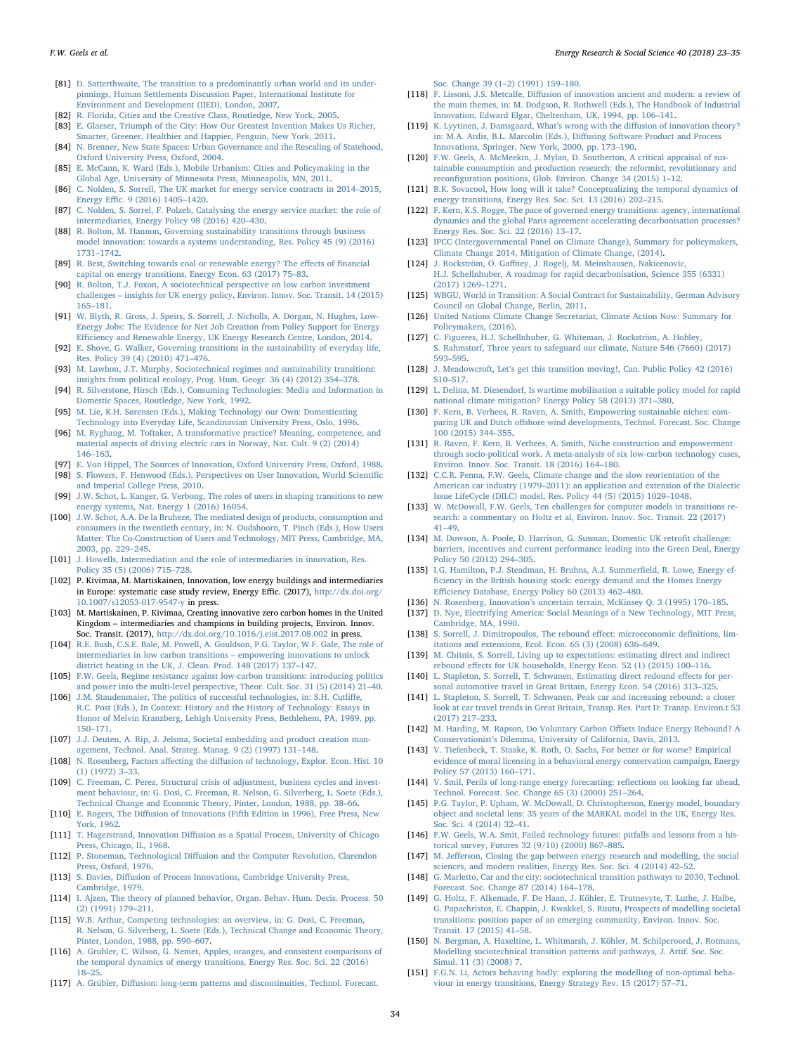- <span id="page-11-0"></span>[81] [D. Satterthwaite, The transition to a predominantly urban world and its under](http://refhub.elsevier.com/S2214-6296(17)30390-0/sbref0405)[pinnings, Human Settlements Discussion Paper, International Institute for](http://refhub.elsevier.com/S2214-6296(17)30390-0/sbref0405) [Environment and Development \(IIED\), London, 2007.](http://refhub.elsevier.com/S2214-6296(17)30390-0/sbref0405)
- <span id="page-11-1"></span>[82] [R. Florida, Cities and the Creative Class, Routledge, New York, 2005.](http://refhub.elsevier.com/S2214-6296(17)30390-0/sbref0410) [83] [E. Glaeser, Triumph of the City: How Our Greatest Invention Makes Us Richer,](http://refhub.elsevier.com/S2214-6296(17)30390-0/sbref0415)
- <span id="page-11-2"></span>[Smarter, Greener, Healthier and Happier, Penguin, New York, 2011.](http://refhub.elsevier.com/S2214-6296(17)30390-0/sbref0415) [84] [N. Brenner, New State Spaces: Urban Governance and the Rescaling of Statehood,](http://refhub.elsevier.com/S2214-6296(17)30390-0/sbref0420)
- <span id="page-11-30"></span>[Oxford University Press, Oxford, 2004.](http://refhub.elsevier.com/S2214-6296(17)30390-0/sbref0420) [85] [E. McCann, K. Ward \(Eds.\), Mobile Urbanism: Cities and Policymaking in the](http://refhub.elsevier.com/S2214-6296(17)30390-0/sbref0425)
- <span id="page-11-3"></span>[Global Age, University of Minnesota Press, Minneapolis, MN, 2011.](http://refhub.elsevier.com/S2214-6296(17)30390-0/sbref0425) [86] [C. Nolden, S. Sorrell, The UK market for energy service contracts in 2014](http://refhub.elsevier.com/S2214-6296(17)30390-0/sbref0430)–2015, Energy Effi[c. 9 \(2016\) 1405](http://refhub.elsevier.com/S2214-6296(17)30390-0/sbref0430)–1420.
- [87] [C. Nolden, S. Sorrel, F. Polzeb, Catalysing the energy service market: the role of](http://refhub.elsevier.com/S2214-6296(17)30390-0/sbref0435) [intermediaries, Energy Policy 98 \(2016\) 420](http://refhub.elsevier.com/S2214-6296(17)30390-0/sbref0435)–430.
- [88] [R. Bolton, M. Hannon, Governing sustainability transitions through business](http://refhub.elsevier.com/S2214-6296(17)30390-0/sbref0440) [model innovation: towards a systems understanding, Res. Policy 45 \(9\) \(2016\)](http://refhub.elsevier.com/S2214-6296(17)30390-0/sbref0440) 1731–[1742.](http://refhub.elsevier.com/S2214-6296(17)30390-0/sbref0440)
- [89] [R. Best, Switching towards coal or renewable energy? The e](http://refhub.elsevier.com/S2214-6296(17)30390-0/sbref0445)ffects of financial [capital on energy transitions, Energy Econ. 63 \(2017\) 75](http://refhub.elsevier.com/S2214-6296(17)30390-0/sbref0445)–83.
- <span id="page-11-4"></span>[90] [R. Bolton, T.J. Foxon, A sociotechnical perspective on low carbon investment](http://refhub.elsevier.com/S2214-6296(17)30390-0/sbref0450) challenges – [insights for UK energy policy, Environ. Innov. Soc. Transit. 14 \(2015\)](http://refhub.elsevier.com/S2214-6296(17)30390-0/sbref0450) 165–[181.](http://refhub.elsevier.com/S2214-6296(17)30390-0/sbref0450)
- <span id="page-11-5"></span>[91] [W. Blyth, R. Gross, J. Speirs, S. Sorrell, J. Nicholls, A. Dorgan, N. Hughes, Low-](http://refhub.elsevier.com/S2214-6296(17)30390-0/sbref0455)[Energy Jobs: The Evidence for Net Job Creation from Policy Support for Energy](http://refhub.elsevier.com/S2214-6296(17)30390-0/sbref0455) Effi[ciency and Renewable Energy, UK Energy Research Centre, London, 2014.](http://refhub.elsevier.com/S2214-6296(17)30390-0/sbref0455)
- <span id="page-11-6"></span>[92] [E. Shove, G. Walker, Governing transitions in the sustainability of everyday life,](http://refhub.elsevier.com/S2214-6296(17)30390-0/sbref0460) [Res. Policy 39 \(4\) \(2010\) 471](http://refhub.elsevier.com/S2214-6296(17)30390-0/sbref0460)–476.
- [93] [M. Lawhon, J.T. Murphy, Sociotechnical regimes and sustainability transitions:](http://refhub.elsevier.com/S2214-6296(17)30390-0/sbref0465) [insights from political ecology, Prog. Hum. Geogr. 36 \(4\) \(2012\) 354](http://refhub.elsevier.com/S2214-6296(17)30390-0/sbref0465)–378.
- <span id="page-11-7"></span>[94] [R. Silverstone, Hirsch \(Eds.\), Consuming Technologies: Media and Information in](http://refhub.elsevier.com/S2214-6296(17)30390-0/sbref0470) [Domestic Spaces, Routledge, New York, 1992.](http://refhub.elsevier.com/S2214-6296(17)30390-0/sbref0470)
- [95] [M. Lie, K.H. Sørensen \(Eds.\), Making Technology our Own: Domesticating](http://refhub.elsevier.com/S2214-6296(17)30390-0/sbref0475) [Technology into Everyday Life, Scandinavian University Press, Oslo, 1996.](http://refhub.elsevier.com/S2214-6296(17)30390-0/sbref0475)
- [96] [M. Ryghaug, M. Toftaker, A transformative practice? Meaning, competence, and](http://refhub.elsevier.com/S2214-6296(17)30390-0/sbref0480) [material aspects of driving electric cars in Norway, Nat. Cult. 9 \(2\) \(2014\)](http://refhub.elsevier.com/S2214-6296(17)30390-0/sbref0480) 146–[163.](http://refhub.elsevier.com/S2214-6296(17)30390-0/sbref0480)
- <span id="page-11-8"></span>[97] [E. Von Hippel, The Sources of Innovation, Oxford University Press, Oxford, 1988.](http://refhub.elsevier.com/S2214-6296(17)30390-0/sbref0485) [98] [S. Flowers, F. Henwood \(Eds.\), Perspectives on User Innovation, World Scienti](http://refhub.elsevier.com/S2214-6296(17)30390-0/sbref0490)fic
- and [Imperial College Press, 2010.](http://refhub.elsevier.com/S2214-6296(17)30390-0/sbref0490)
- <span id="page-11-9"></span>[99] [J.W. Schot, L. Kanger, G. Verbong, The roles of users in shaping transitions to new](http://refhub.elsevier.com/S2214-6296(17)30390-0/sbref0495) [energy systems, Nat. Energy 1 \(2016\) 16054.](http://refhub.elsevier.com/S2214-6296(17)30390-0/sbref0495)
- [100] [J.W. Schot, A.A. De la Bruheze, The mediated design of products, consumption and](http://refhub.elsevier.com/S2214-6296(17)30390-0/sbref0500) [consumers in the twentieth century, in: N. Oudshoorn, T. Pinch \(Eds.\), How Users](http://refhub.elsevier.com/S2214-6296(17)30390-0/sbref0500) [Matter: The Co-Construction of Users and Technology, MIT Press, Cambridge, MA,](http://refhub.elsevier.com/S2214-6296(17)30390-0/sbref0500) [2003, pp. 229](http://refhub.elsevier.com/S2214-6296(17)30390-0/sbref0500)–245.
- [101] [J. Howells, Intermediation and the role of intermediaries in innovation, Res.](http://refhub.elsevier.com/S2214-6296(17)30390-0/sbref0505) [Policy 35 \(5\) \(2006\) 715](http://refhub.elsevier.com/S2214-6296(17)30390-0/sbref0505)–728.
- [102] P. Kivimaa, M. Martiskainen, Innovation, low energy buildings and intermediaries in Europe: systematic case study review, Energy Effic. (2017), [http://dx.doi.org/](http://dx.doi.org/10.1007/s12053-017-9547-y) [10.1007/s12053-017-9547-y](http://dx.doi.org/10.1007/s12053-017-9547-y) in press.
- [103] M. Martiskainen, P. Kivimaa, Creating innovative zero carbon homes in the United Kingdom – intermediaries and champions in building projects, Environ. Innov. Soc. Transit. (2017), <http://dx.doi.org/10.1016/j.eist.2017.08.002> in press.
- [104] [R.E. Bush, C.S.E. Bale, M. Powell, A. Gouldson, P.G. Taylor, W.F. Gale, The role of](http://refhub.elsevier.com/S2214-6296(17)30390-0/sbref0520) [intermediaries in low carbon transitions](http://refhub.elsevier.com/S2214-6296(17)30390-0/sbref0520) – empowering innovations to unlock [district heating in the UK, J. Clean. Prod. 148 \(2017\) 137](http://refhub.elsevier.com/S2214-6296(17)30390-0/sbref0520)–147.
- <span id="page-11-10"></span>[105] [F.W. Geels, Regime resistance against low-carbon transitions: introducing politics](http://refhub.elsevier.com/S2214-6296(17)30390-0/sbref0525) [and power into the multi-level perspective, Theor. Cult. Soc. 31 \(5\) \(2014\) 21](http://refhub.elsevier.com/S2214-6296(17)30390-0/sbref0525)–40.
- <span id="page-11-11"></span>[106] [J.M. Staudenmaier, The politics of successful technologies, in: S.H. Cutli](http://refhub.elsevier.com/S2214-6296(17)30390-0/sbref0530)ffe, [R.C. Post \(Eds.\), In Context: History and the History of Technology: Essays in](http://refhub.elsevier.com/S2214-6296(17)30390-0/sbref0530) [Honor of Melvin Kranzberg, Lehigh University Press, Bethlehem, PA, 1989, pp.](http://refhub.elsevier.com/S2214-6296(17)30390-0/sbref0530) 150–[171.](http://refhub.elsevier.com/S2214-6296(17)30390-0/sbref0530)
- <span id="page-11-12"></span>[107] [J.J. Deuten, A. Rip, J. Jelsma, Societal embedding and product creation man](http://refhub.elsevier.com/S2214-6296(17)30390-0/sbref0535)[agement, Technol. Anal. Strateg. Manag. 9 \(2\) \(1997\) 131](http://refhub.elsevier.com/S2214-6296(17)30390-0/sbref0535)–148.
- <span id="page-11-13"></span>[108] N. Rosenberg, Factors affecting the diff[usion of technology, Explor. Econ. Hist. 10](http://refhub.elsevier.com/S2214-6296(17)30390-0/sbref0540) [\(1\) \(1972\) 3](http://refhub.elsevier.com/S2214-6296(17)30390-0/sbref0540)–33.
- <span id="page-11-14"></span>[109] [C. Freeman, C. Perez, Structural crisis of adjustment, business cycles and invest](http://refhub.elsevier.com/S2214-6296(17)30390-0/sbref0545)[ment behaviour, in: G. Dosi, C. Freeman, R. Nelson, G. Silverberg, L. Soete \(Eds.\),](http://refhub.elsevier.com/S2214-6296(17)30390-0/sbref0545) [Technical Change and Economic Theory, Pinter, London, 1988, pp. 38](http://refhub.elsevier.com/S2214-6296(17)30390-0/sbref0545)–66.
- <span id="page-11-15"></span>[110] E. Rogers, The Diff[usion of Innovations \(Fifth Edition in 1996\), Free Press, New](http://refhub.elsevier.com/S2214-6296(17)30390-0/sbref0550) [York, 1962.](http://refhub.elsevier.com/S2214-6296(17)30390-0/sbref0550)
- <span id="page-11-29"></span>[111] T. Hagerstrand, Innovation Diff[usion as a Spatial Process, University of Chicago](http://refhub.elsevier.com/S2214-6296(17)30390-0/sbref0555) [Press, Chicago, IL, 1968.](http://refhub.elsevier.com/S2214-6296(17)30390-0/sbref0555)
- [112] P. Stoneman, Technological Diff[usion and the Computer Revolution, Clarendon](http://refhub.elsevier.com/S2214-6296(17)30390-0/sbref0560) [Press, Oxford, 1976.](http://refhub.elsevier.com/S2214-6296(17)30390-0/sbref0560)
- [113] S. Davies, Diffusion [of Process Innovations, Cambridge University Press,](http://refhub.elsevier.com/S2214-6296(17)30390-0/sbref0565) [Cambridge, 1979.](http://refhub.elsevier.com/S2214-6296(17)30390-0/sbref0565)
- <span id="page-11-27"></span>[114] [I. Ajzen, The theory of planned behavior, Organ. Behav. Hum. Decis. Process. 50](http://refhub.elsevier.com/S2214-6296(17)30390-0/sbref0570) [\(2\) \(1991\) 179](http://refhub.elsevier.com/S2214-6296(17)30390-0/sbref0570)–211.
- <span id="page-11-28"></span>[115] [W.B. Arthur, Competing technologies: an overview, in: G. Dosi, C. Freeman,](http://refhub.elsevier.com/S2214-6296(17)30390-0/sbref0575) [R. Nelson, G. Silverberg, L. Soete \(Eds.\), Technical Change and Economic Theory,](http://refhub.elsevier.com/S2214-6296(17)30390-0/sbref0575) [Pinter, London, 1988, pp. 590](http://refhub.elsevier.com/S2214-6296(17)30390-0/sbref0575)–607.
- <span id="page-11-16"></span>[116] [A. Grubler, C. Wilson, G. Nemet, Apples, oranges, and consistent comparisons of](http://refhub.elsevier.com/S2214-6296(17)30390-0/sbref0580) [the temporal dynamics of energy transitions, Energy Res. Soc. Sci. 22 \(2016\)](http://refhub.elsevier.com/S2214-6296(17)30390-0/sbref0580) 18–[25.](http://refhub.elsevier.com/S2214-6296(17)30390-0/sbref0580)
- <span id="page-11-17"></span>[117] A. Grübler, Diff[usion: long-term patterns and discontinuities, Technol. Forecast.](http://refhub.elsevier.com/S2214-6296(17)30390-0/sbref0585)

[Soc. Change 39 \(1](http://refhub.elsevier.com/S2214-6296(17)30390-0/sbref0585)–2) (1991) 159–180.

- <span id="page-11-18"></span>[118] F. Lissoni, J.S. Metcalfe, Diff[usion of innovation ancient and modern: a review of](http://refhub.elsevier.com/S2214-6296(17)30390-0/sbref0590) [the main themes, in: M. Dodgson, R. Rothwell \(Eds.\), The Handbook of Industrial](http://refhub.elsevier.com/S2214-6296(17)30390-0/sbref0590) [Innovation, Edward Elgar, Cheltenham, UK, 1994, pp. 106](http://refhub.elsevier.com/S2214-6296(17)30390-0/sbref0590)–141.
- <span id="page-11-19"></span>[119] [K. Lyytinen, J. Damsgaard, What](http://refhub.elsevier.com/S2214-6296(17)30390-0/sbref0595)'s wrong with the diffusion of innovation theory? [in: M.A. Ardis, B.L. Marcolin \(Eds.\), Di](http://refhub.elsevier.com/S2214-6296(17)30390-0/sbref0595)ffusing Software Product and Process [Innovations, Springer, New York, 2000, pp. 173](http://refhub.elsevier.com/S2214-6296(17)30390-0/sbref0595)–190.
- <span id="page-11-20"></span>[120] [F.W. Geels, A. McMeekin, J. Mylan, D. Southerton, A critical appraisal of sus](http://refhub.elsevier.com/S2214-6296(17)30390-0/sbref0600)[tainable consumption and production research: the reformist, revolutionary and](http://refhub.elsevier.com/S2214-6296(17)30390-0/sbref0600) reconfi[guration positions, Glob. Environ. Change 34 \(2015\) 1](http://refhub.elsevier.com/S2214-6296(17)30390-0/sbref0600)–12.
- <span id="page-11-21"></span>[121] [B.K. Sovacool, How long will it take? Conceptualizing the temporal dynamics of](http://refhub.elsevier.com/S2214-6296(17)30390-0/sbref0605) [energy transitions, Energy Res. Soc. Sci. 13 \(2016\) 202](http://refhub.elsevier.com/S2214-6296(17)30390-0/sbref0605)–215.
- [122] [F. Kern, K.S. Rogge, The pace of governed energy transitions: agency, international](http://refhub.elsevier.com/S2214-6296(17)30390-0/sbref0610) [dynamics and the global Paris agreement accelerating decarbonisation processes?](http://refhub.elsevier.com/S2214-6296(17)30390-0/sbref0610) [Energy Res. Soc. Sci. 22 \(2016\) 13](http://refhub.elsevier.com/S2214-6296(17)30390-0/sbref0610)–17.
- <span id="page-11-22"></span>[123] [IPCC \(Intergovernmental Panel on Climate Change\), Summary for policymakers,](http://refhub.elsevier.com/S2214-6296(17)30390-0/sbref0615) [Climate Change 2014, Mitigation of Climate Change, \(2014\).](http://refhub.elsevier.com/S2214-6296(17)30390-0/sbref0615)
- [124] J. Rockström, O. Gaff[ney, J. Rogelj, M. Meinshausen, Nakicenovic,](http://refhub.elsevier.com/S2214-6296(17)30390-0/sbref0620) [H.J. Schellnhuber, A roadmap for rapid decarbonisation, Science 355 \(6331\)](http://refhub.elsevier.com/S2214-6296(17)30390-0/sbref0620) [\(2017\) 1269](http://refhub.elsevier.com/S2214-6296(17)30390-0/sbref0620)–1271.
- <span id="page-11-23"></span>[125] [WBGU, World in Transition: A Social Contract for Sustainability, German Advisory](http://refhub.elsevier.com/S2214-6296(17)30390-0/sbref0625) [Council on Global Change, Berlin, 2011.](http://refhub.elsevier.com/S2214-6296(17)30390-0/sbref0625)
- <span id="page-11-24"></span>[126] [United Nations Climate Change Secretariat, Climate Action Now: Summary for](http://refhub.elsevier.com/S2214-6296(17)30390-0/sbref0630) [Policymakers, \(2016\).](http://refhub.elsevier.com/S2214-6296(17)30390-0/sbref0630)
- [127] [C. Figueres, H.J. Schellnhuber, G. Whiteman, J. Rockström, A. Hobley,](http://refhub.elsevier.com/S2214-6296(17)30390-0/sbref0635) [S. Rahmstorf, Three years to safeguard our climate, Nature 546 \(7660\) \(2017\)](http://refhub.elsevier.com/S2214-6296(17)30390-0/sbref0635) 593–[595.](http://refhub.elsevier.com/S2214-6296(17)30390-0/sbref0635)
- <span id="page-11-25"></span>[128] J. Meadowcroft, Let'[s get this transition moving!, Can. Public Policy 42 \(2016\)](http://refhub.elsevier.com/S2214-6296(17)30390-0/sbref0640) S10–[S17.](http://refhub.elsevier.com/S2214-6296(17)30390-0/sbref0640)
- <span id="page-11-26"></span>[129] [L. Delina, M. Diesendorf, Is wartime mobilisation a suitable policy model for rapid](http://refhub.elsevier.com/S2214-6296(17)30390-0/sbref0645) [national climate mitigation? Energy Policy 58 \(2013\) 371](http://refhub.elsevier.com/S2214-6296(17)30390-0/sbref0645)–380.
- <span id="page-11-31"></span>[130] [F. Kern, B. Verhees, R. Raven, A. Smith, Empowering sustainable niches: com](http://refhub.elsevier.com/S2214-6296(17)30390-0/sbref0650)paring UK and Dutch off[shore wind developments, Technol. Forecast. Soc. Change](http://refhub.elsevier.com/S2214-6296(17)30390-0/sbref0650) [100 \(2015\) 344](http://refhub.elsevier.com/S2214-6296(17)30390-0/sbref0650)–355.
- [131] [R. Raven, F. Kern, B. Verhees, A. Smith, Niche construction and empowerment](http://refhub.elsevier.com/S2214-6296(17)30390-0/sbref0655) [through socio-political work. A meta-analysis of six low-carbon technology cases,](http://refhub.elsevier.com/S2214-6296(17)30390-0/sbref0655) [Environ. Innov. Soc. Transit. 18 \(2016\) 164](http://refhub.elsevier.com/S2214-6296(17)30390-0/sbref0655)–180.
- [132] [C.C.R. Penna, F.W. Geels, Climate change and the slow reorientation of the](http://refhub.elsevier.com/S2214-6296(17)30390-0/sbref0660) American car industry (1979–[2011\): an application and extension of the Dialectic](http://refhub.elsevier.com/S2214-6296(17)30390-0/sbref0660) [Issue LifeCycle \(DILC\) model, Res. Policy 44 \(5\) \(2015\) 1029](http://refhub.elsevier.com/S2214-6296(17)30390-0/sbref0660)–1048.
- <span id="page-11-32"></span>[133] [W. McDowall, F.W. Geels, Ten challenges for computer models in transitions re](http://refhub.elsevier.com/S2214-6296(17)30390-0/sbref0665)[search: a commentary on Holtz et al, Environ. Innov. Soc. Transit. 22 \(2017\)](http://refhub.elsevier.com/S2214-6296(17)30390-0/sbref0665) 41–[49.](http://refhub.elsevier.com/S2214-6296(17)30390-0/sbref0665)
- <span id="page-11-33"></span>[134] [M. Dowson, A. Poole, D. Harrison, G. Susman, Domestic UK retro](http://refhub.elsevier.com/S2214-6296(17)30390-0/sbref0670)fit challenge: [barriers, incentives and current performance leading into the Green Deal, Energy](http://refhub.elsevier.com/S2214-6296(17)30390-0/sbref0670) [Policy 50 \(2012\) 294](http://refhub.elsevier.com/S2214-6296(17)30390-0/sbref0670)–305.
- [135] [I.G. Hamilton, P.J. Steadman, H. Bruhns, A.J. Summer](http://refhub.elsevier.com/S2214-6296(17)30390-0/sbref0675)field, R. Lowe, Energy effi[ciency in the British housing stock: energy demand and the Homes Energy](http://refhub.elsevier.com/S2214-6296(17)30390-0/sbref0675) Effi[ciency Database, Energy Policy 60 \(2013\) 462](http://refhub.elsevier.com/S2214-6296(17)30390-0/sbref0675)–480.
- <span id="page-11-42"></span><span id="page-11-34"></span>[136] N. Rosenberg, Innovation'[s uncertain terrain, McKinsey Q. 3 \(1995\) 170](http://refhub.elsevier.com/S2214-6296(17)30390-0/sbref0680)–185. [137] [D. Nye, Electrifying America: Social Meanings of a New Technology, MIT Press,](http://refhub.elsevier.com/S2214-6296(17)30390-0/sbref0685)
- <span id="page-11-35"></span>[Cambridge, MA, 1990.](http://refhub.elsevier.com/S2214-6296(17)30390-0/sbref0685) [138] [S. Sorrell, J. Dimitropoulos, The rebound e](http://refhub.elsevier.com/S2214-6296(17)30390-0/sbref0690)ffect: microeconomic definitions, lim-
- [itations and extensions, Ecol. Econ. 65 \(3\) \(2008\) 636](http://refhub.elsevier.com/S2214-6296(17)30390-0/sbref0690)–649.
- <span id="page-11-36"></span>[139] [M. Chitnis, S. Sorrell, Living up to expectations: estimating direct and indirect](http://refhub.elsevier.com/S2214-6296(17)30390-0/sbref0695) rebound eff[ects for UK households, Energy Econ. 52 \(1\) \(2015\) 100](http://refhub.elsevier.com/S2214-6296(17)30390-0/sbref0695)–116. [140] [L. Stapleton, S. Sorrell, T. Schwanen, Estimating direct redound e](http://refhub.elsevier.com/S2214-6296(17)30390-0/sbref0700)ffects for per-
- [sonal automotive travel in Great Britain, Energy Econ. 54 \(2016\) 313](http://refhub.elsevier.com/S2214-6296(17)30390-0/sbref0700)–325. [141] [L. Stapleton, S. Sorrell, T. Schwanen, Peak car and increasing rebound: a closer](http://refhub.elsevier.com/S2214-6296(17)30390-0/sbref0705)
- [look at car travel trends in Great Britain, Transp. Res. Part D: Transp. Environ.t 53](http://refhub.elsevier.com/S2214-6296(17)30390-0/sbref0705) [\(2017\) 217](http://refhub.elsevier.com/S2214-6296(17)30390-0/sbref0705)–233.
- <span id="page-11-37"></span>[142] [M. Harding, M. Rapson, Do Voluntary Carbon O](http://refhub.elsevier.com/S2214-6296(17)30390-0/sbref0710)ffsets Induce Energy Rebound? A Conservationist'[s Dilemma, University of California, Davis, 2013.](http://refhub.elsevier.com/S2214-6296(17)30390-0/sbref0710)
- [143] [V. Tiefenbeck, T. Staake, K. Roth, O. Sachs, For better or for worse? Empirical](http://refhub.elsevier.com/S2214-6296(17)30390-0/sbref0715) [evidence of moral licensing in a behavioral energy conservation campaign, Energy](http://refhub.elsevier.com/S2214-6296(17)30390-0/sbref0715) [Policy 57 \(2013\) 160](http://refhub.elsevier.com/S2214-6296(17)30390-0/sbref0715)–171.
- <span id="page-11-38"></span>[144] [V. Smil, Perils of long-range energy forecasting: re](http://refhub.elsevier.com/S2214-6296(17)30390-0/sbref0720)flections on looking far ahead, [Technol. Forecast. Soc. Change 65 \(3\) \(2000\) 251](http://refhub.elsevier.com/S2214-6296(17)30390-0/sbref0720)–264.
- [145] [P.G. Taylor, P. Upham, W. McDowall, D. Christopherson, Energy model, boundary](http://refhub.elsevier.com/S2214-6296(17)30390-0/sbref0725) [object and societal lens: 35 years of the MARKAL model in the UK, Energy Res.](http://refhub.elsevier.com/S2214-6296(17)30390-0/sbref0725) [Soc. Sci. 4 \(2014\) 32](http://refhub.elsevier.com/S2214-6296(17)30390-0/sbref0725)–41.
- <span id="page-11-39"></span>[146] [F.W. Geels, W.A. Smit, Failed technology futures: pitfalls and lessons from a his](http://refhub.elsevier.com/S2214-6296(17)30390-0/sbref0730)[torical survey, Futures 32 \(9/10\) \(2000\) 867](http://refhub.elsevier.com/S2214-6296(17)30390-0/sbref0730)–885.
- [147] M. Jeff[erson, Closing the gap between energy research and modelling, the social](http://refhub.elsevier.com/S2214-6296(17)30390-0/sbref0735) [sciences, and modern realities, Energy Res. Soc. Sci. 4 \(2014\) 42](http://refhub.elsevier.com/S2214-6296(17)30390-0/sbref0735)–52.
- [148] [G. Marletto, Car and the city: sociotechnical transition pathways to 2030, Technol.](http://refhub.elsevier.com/S2214-6296(17)30390-0/sbref0740) [Forecast. Soc. Change 87 \(2014\) 164](http://refhub.elsevier.com/S2214-6296(17)30390-0/sbref0740)–178.
- <span id="page-11-40"></span>[149] [G. Holtz, F. Alkemade, F. De Haan, J. Köhler, E. Trutnevyte, T. Luthe, J. Halbe,](http://refhub.elsevier.com/S2214-6296(17)30390-0/sbref0745) [G. Papachristos, E. Chappin, J. Kwakkel, S. Ruutu, Prospects of modelling societal](http://refhub.elsevier.com/S2214-6296(17)30390-0/sbref0745) [transitions: position paper of an emerging community, Environ. Innov. Soc.](http://refhub.elsevier.com/S2214-6296(17)30390-0/sbref0745) [Transit. 17 \(2015\) 41](http://refhub.elsevier.com/S2214-6296(17)30390-0/sbref0745)–58.
- <span id="page-11-41"></span>[150] [N. Bergman, A. Haxeltine, L. Whitmarsh, J. Köhler, M. Schilperoord, J. Rotmans,](http://refhub.elsevier.com/S2214-6296(17)30390-0/sbref0750) [Modelling sociotechnical transition patterns and pathways, J. Artif. Soc. Soc.](http://refhub.elsevier.com/S2214-6296(17)30390-0/sbref0750) [Simul. 11 \(3\) \(2008\) 7.](http://refhub.elsevier.com/S2214-6296(17)30390-0/sbref0750)
- [151] [F.G.N. Li, Actors behaving badly: exploring the modelling of non-optimal beha](http://refhub.elsevier.com/S2214-6296(17)30390-0/sbref0755)[viour in energy transitions, Energy Strategy Rev. 15 \(2017\) 57](http://refhub.elsevier.com/S2214-6296(17)30390-0/sbref0755)–71.